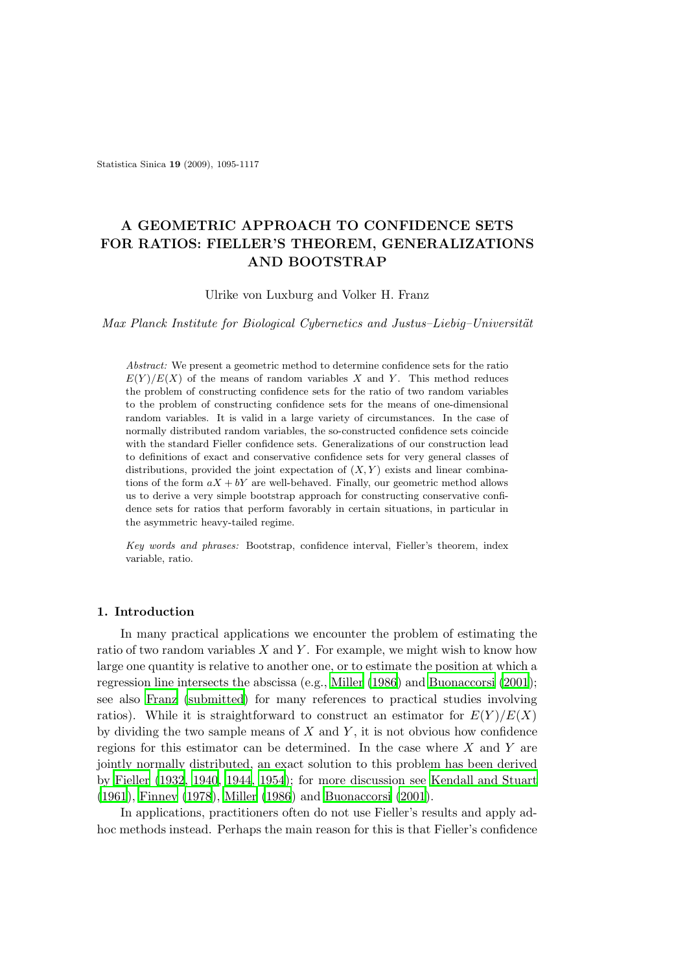Statistica Sinica 19 (2009), 1095-1117

# A GEOMETRIC APPROACH TO CONFIDENCE SETS FOR RATIOS: FIELLER'S THEOREM, GENERALIZATIONS AND BOOTSTRAP

Ulrike von Luxburg and Volker H. Franz

Max Planck Institute for Biological Cybernetics and Justus–Liebig–Universität

Abstract: We present a geometric method to determine confidence sets for the ratio  $E(Y)/E(X)$  of the means of random variables X and Y. This method reduces the problem of constructing confidence sets for the ratio of two random variables to the problem of constructing confidence sets for the means of one-dimensional random variables. It is valid in a large variety of circumstances. In the case of normally distributed random variables, the so-constructed confidence sets coincide with the standard Fieller confidence sets. Generalizations of our construction lead to definitions of exact and conservative confidence sets for very general classes of distributions, provided the joint expectation of  $(X, Y)$  exists and linear combinations of the form  $aX + bY$  are well-behaved. Finally, our geometric method allows us to derive a very simple bootstrap approach for constructing conservative confidence sets for ratios that perform favorably in certain situations, in particular in the asymmetric heavy-tailed regime.

Key words and phrases: Bootstrap, confidence interval, Fieller's theorem, index variable, ratio.

## 1. Introduction

In many practical applications we encounter the problem of estimating the ratio of two random variables  $X$  and  $Y$ . For example, we might wish to know how large one quantity is relative to another one, or to estimate the position at which a regression line intersects the abscissa (e.g., [Miller \(1986\)](#page-22-0) and [Buonaccorsi \(2001](#page-21-0)); see also [Franz \(submitted](#page-21-1)) for many references to practical studies involving ratios). While it is straightforward to construct an estimator for  $E(Y)/E(X)$ by dividing the two sample means of  $X$  and  $Y$ , it is not obvious how confidence regions for this estimator can be determined. In the case where  $X$  and  $Y$  are jointly normally distributed, an exact solution to this problem has been derived by [Fieller \(1932,](#page-21-2) [1940,](#page-21-3) [1944,](#page-21-4) [1954\)](#page-21-5); for more discussion see [Kendall and Stuart](#page-21-6) [\(1961](#page-21-6)), [Finney \(1978](#page-21-7)), [Miller \(1986](#page-22-0)) and [Buonaccorsi \(2001](#page-21-0)).

In applications, practitioners often do not use Fieller's results and apply adhoc methods instead. Perhaps the main reason for this is that Fieller's confidence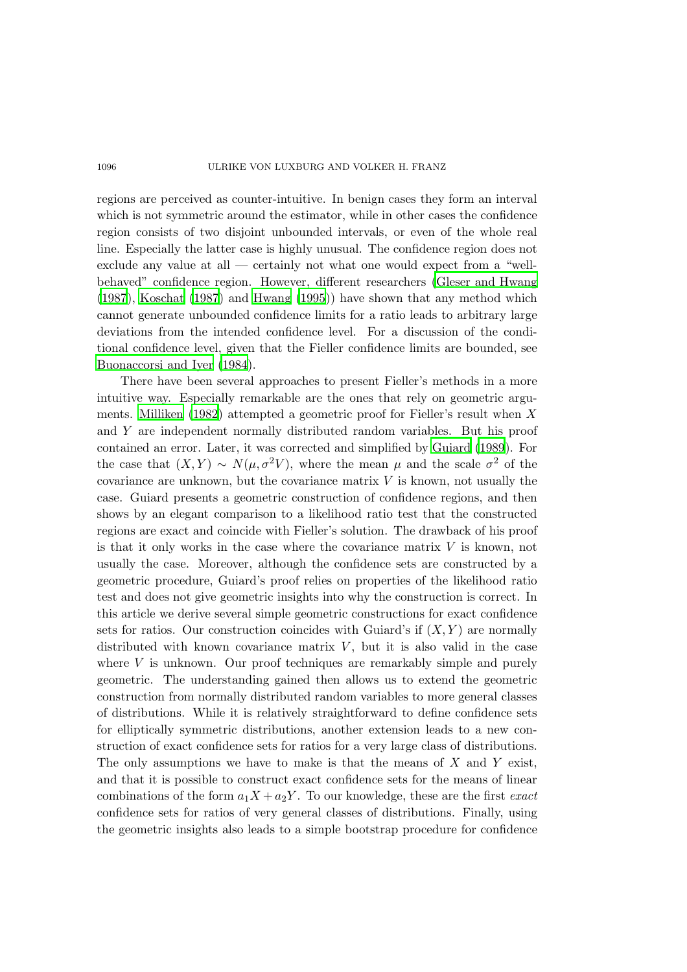regions are perceived as counter-intuitive. In benign cases they form an interval which is not symmetric around the estimator, while in other cases the confidence region consists of two disjoint unbounded intervals, or even of the whole real line. Especially the latter case is highly unusual. The confidence region does not exclude any value at all — certainly not what one would expect from a "wellbehaved" confidence region. However, different researchers [\(Gleser and Hwang](#page-21-8) [\(1987](#page-21-8)), [Koschat \(1987](#page-22-1)) and [Hwang \(1995](#page-21-9))) have shown that any method which cannot generate unbounded confidence limits for a ratio leads to arbitrary large deviations from the intended confidence level. For a discussion of the conditional confidence level, given that the Fieller confidence limits are bounded, see [Buonaccorsi and Iyer \(1984](#page-21-10)).

There have been several approaches to present Fieller's methods in a more intuitive way. Especially remarkable are the ones that rely on geometric argu-ments. [Milliken \(1982](#page-22-2)) attempted a geometric proof for Fieller's result when  $X$ and Y are independent normally distributed random variables. But his proof contained an error. Later, it was corrected and simplified by [Guiard \(1989](#page-21-11)). For the case that  $(X, Y) \sim N(\mu, \sigma^2 V)$ , where the mean  $\mu$  and the scale  $\sigma^2$  of the covariance are unknown, but the covariance matrix  $V$  is known, not usually the case. Guiard presents a geometric construction of confidence regions, and then shows by an elegant comparison to a likelihood ratio test that the constructed regions are exact and coincide with Fieller's solution. The drawback of his proof is that it only works in the case where the covariance matrix  $V$  is known, not usually the case. Moreover, although the confidence sets are constructed by a geometric procedure, Guiard's proof relies on properties of the likelihood ratio test and does not give geometric insights into why the construction is correct. In this article we derive several simple geometric constructions for exact confidence sets for ratios. Our construction coincides with Guiard's if  $(X, Y)$  are normally distributed with known covariance matrix  $V$ , but it is also valid in the case where  $V$  is unknown. Our proof techniques are remarkably simple and purely geometric. The understanding gained then allows us to extend the geometric construction from normally distributed random variables to more general classes of distributions. While it is relatively straightforward to define confidence sets for elliptically symmetric distributions, another extension leads to a new construction of exact confidence sets for ratios for a very large class of distributions. The only assumptions we have to make is that the means of  $X$  and  $Y$  exist, and that it is possible to construct exact confidence sets for the means of linear combinations of the form  $a_1X + a_2Y$ . To our knowledge, these are the first *exact* confidence sets for ratios of very general classes of distributions. Finally, using the geometric insights also leads to a simple bootstrap procedure for confidence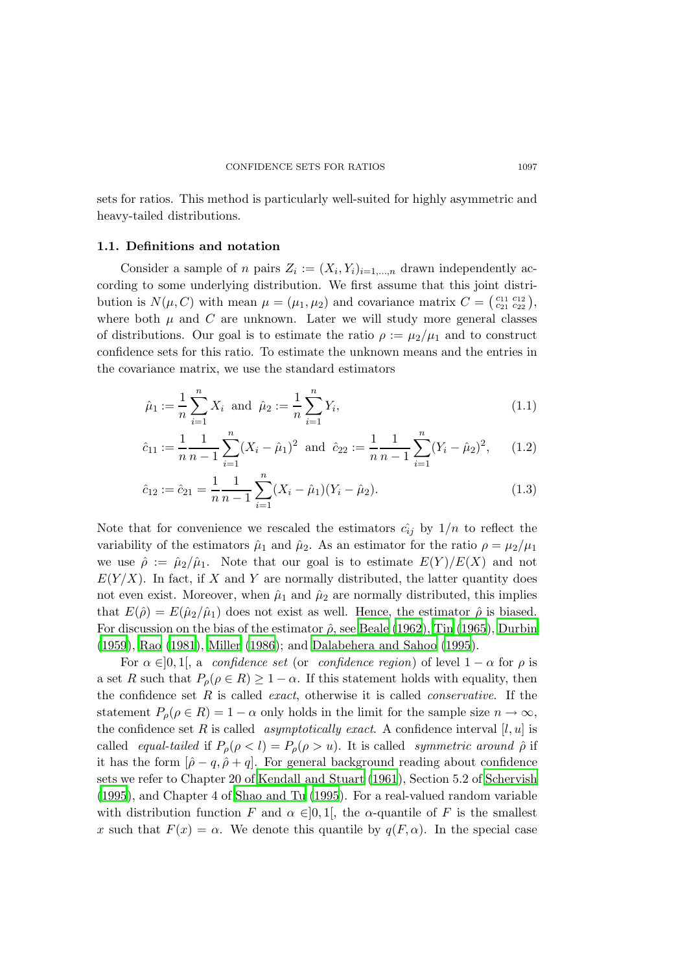sets for ratios. This method is particularly well-suited for highly asymmetric and heavy-tailed distributions.

# 1.1. Definitions and notation

Consider a sample of *n* pairs  $Z_i := (X_i, Y_i)_{i=1,\dots,n}$  drawn independently according to some underlying distribution. We first assume that this joint distribution is  $N(\mu, C)$  with mean  $\mu = (\mu_1, \mu_2)$  and covariance matrix  $C = \begin{pmatrix} c_{11} & c_{12} \\ c_{21} & c_{22} \end{pmatrix}$ , where both  $\mu$  and  $C$  are unknown. Later we will study more general classes of distributions. Our goal is to estimate the ratio  $\rho := \mu_2/\mu_1$  and to construct confidence sets for this ratio. To estimate the unknown means and the entries in the covariance matrix, we use the standard estimators

<span id="page-2-0"></span>
$$
\hat{\mu}_1 := \frac{1}{n} \sum_{i=1}^n X_i \text{ and } \hat{\mu}_2 := \frac{1}{n} \sum_{i=1}^n Y_i,
$$
\n(1.1)

$$
\hat{c}_{11} := \frac{1}{n} \frac{1}{n-1} \sum_{i=1}^{n} (X_i - \hat{\mu}_1)^2 \text{ and } \hat{c}_{22} := \frac{1}{n} \frac{1}{n-1} \sum_{i=1}^{n} (Y_i - \hat{\mu}_2)^2, \qquad (1.2)
$$

$$
\hat{c}_{12} := \hat{c}_{21} = \frac{1}{n} \frac{1}{n-1} \sum_{i=1}^{n} (X_i - \hat{\mu}_1)(Y_i - \hat{\mu}_2).
$$
\n(1.3)

Note that for convenience we rescaled the estimators  $\hat{c}_{ij}$  by  $1/n$  to reflect the variability of the estimators  $\hat{\mu}_1$  and  $\hat{\mu}_2$ . As an estimator for the ratio  $\rho = \mu_2/\mu_1$ we use  $\hat{\rho} := \hat{\mu}_2/\hat{\mu}_1$ . Note that our goal is to estimate  $E(Y)/E(X)$  and not  $E(Y/X)$ . In fact, if X and Y are normally distributed, the latter quantity does not even exist. Moreover, when  $\hat{\mu}_1$  and  $\hat{\mu}_2$  are normally distributed, this implies that  $E(\hat{\rho}) = E(\hat{\mu}_2/\hat{\mu}_1)$  does not exist as well. Hence, the estimator  $\hat{\rho}$  is biased. For discussion on the bias of the estimator  $\hat{\rho}$ , see [Beale \(1962](#page-21-12)), [Tin \(1965](#page-22-3)), [Durbin](#page-21-13) [\(1959](#page-21-13)), [Rao \(1981](#page-22-4)), [Miller \(1986](#page-22-0)); and [Dalabehera and Sahoo](#page-21-14) [\(1995](#page-21-14)).

For  $\alpha \in ]0,1[$ , a *confidence set* (or *confidence region*) of level  $1 - \alpha$  for  $\rho$  is a set R such that  $P_{\rho}(\rho \in R) \geq 1 - \alpha$ . If this statement holds with equality, then the confidence set  $R$  is called *exact*, otherwise it is called *conservative*. If the statement  $P_{\rho}(\rho \in R) = 1 - \alpha$  only holds in the limit for the sample size  $n \to \infty$ , the confidence set R is called *asymptotically exact*. A confidence interval  $[l, u]$  is called equal-tailed if  $P_{\rho}(\rho < l) = P_{\rho}(\rho > u)$ . It is called *symmetric around*  $\hat{\rho}$  if it has the form  $[\hat{\rho} - q, \hat{\rho} + q]$ . For general background reading about confidence sets we refer to Chapter 20 of [Kendall and Stuart \(1961](#page-21-6)), Section 5.2 of [Schervish](#page-22-5) [\(1995](#page-22-5)), and Chapter 4 of [Shao and Tu \(1995\)](#page-22-6). For a real-valued random variable with distribution function F and  $\alpha \in ]0,1[$ , the  $\alpha$ -quantile of F is the smallest x such that  $F(x) = \alpha$ . We denote this quantile by  $q(F, \alpha)$ . In the special case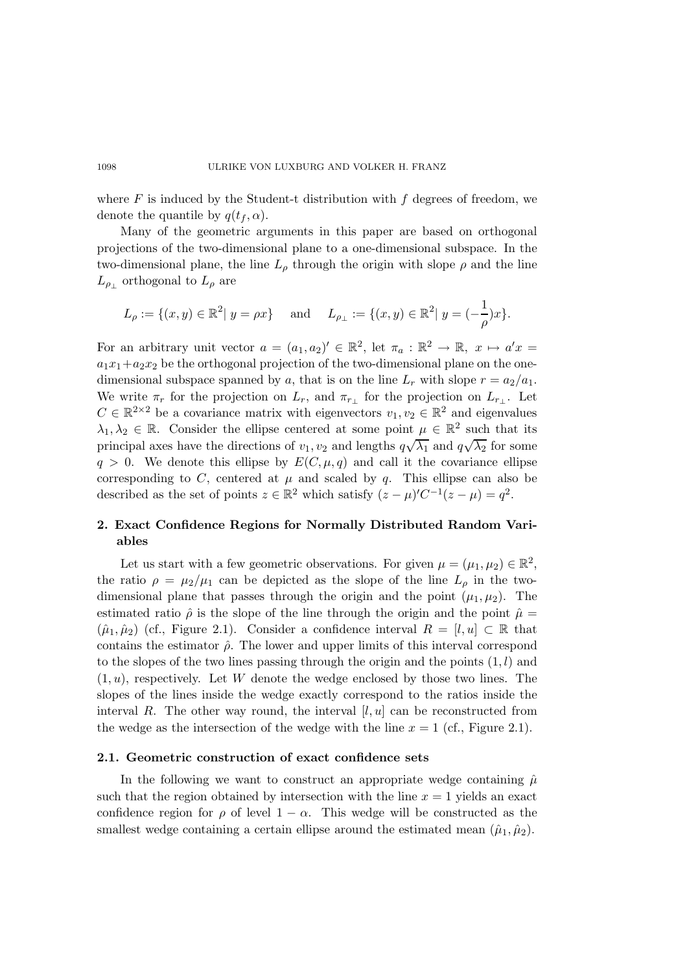where  $F$  is induced by the Student-t distribution with  $f$  degrees of freedom, we denote the quantile by  $q(t_f, \alpha)$ .

Many of the geometric arguments in this paper are based on orthogonal projections of the two-dimensional plane to a one-dimensional subspace. In the two-dimensional plane, the line  $L_{\rho}$  through the origin with slope  $\rho$  and the line  $L_{\rho_{\perp}}$  orthogonal to  $L_{\rho}$  are

$$
L_{\rho} := \{(x, y) \in \mathbb{R}^2 | y = \rho x\}
$$
 and  $L_{\rho_{\perp}} := \{(x, y) \in \mathbb{R}^2 | y = (-\frac{1}{\rho})x\}.$ 

For an arbitrary unit vector  $a = (a_1, a_2)' \in \mathbb{R}^2$ , let  $\pi_a : \mathbb{R}^2 \to \mathbb{R}$ ,  $x \mapsto a'x =$  $a_1x_1+a_2x_2$  be the orthogonal projection of the two-dimensional plane on the onedimensional subspace spanned by a, that is on the line  $L_r$  with slope  $r = a_2/a_1$ . We write  $\pi_r$  for the projection on  $L_r$ , and  $\pi_{r_\perp}$  for the projection on  $L_{r_\perp}$ . Let  $C \in \mathbb{R}^{2 \times 2}$  be a covariance matrix with eigenvectors  $v_1, v_2 \in \mathbb{R}^2$  and eigenvalues  $\lambda_1, \lambda_2 \in \mathbb{R}$ . Consider the ellipse centered at some point  $\mu \in \mathbb{R}^2$  such that its principal axes have the directions of  $v_1, v_2$  and lengths  $q\sqrt{\lambda_1}$  and  $q\sqrt{\lambda_2}$  for some  $q > 0$ . We denote this ellipse by  $E(C, \mu, q)$  and call it the covariance ellipse corresponding to C, centered at  $\mu$  and scaled by q. This ellipse can also be described as the set of points  $z \in \mathbb{R}^2$  which satisfy  $(z - \mu)'C^{-1}(z - \mu) = q^2$ .

# 2. Exact Confidence Regions for Normally Distributed Random Variables

Let us start with a few geometric observations. For given  $\mu = (\mu_1, \mu_2) \in \mathbb{R}^2$ , the ratio  $\rho = \mu_2/\mu_1$  can be depicted as the slope of the line  $L_\rho$  in the twodimensional plane that passes through the origin and the point  $(\mu_1, \mu_2)$ . The estimated ratio  $\hat{\rho}$  is the slope of the line through the origin and the point  $\hat{\mu} =$  $(\hat{\mu}_1, \hat{\mu}_2)$  (cf., Figure 2.1). Consider a confidence interval  $R = [l, u] \subset \mathbb{R}$  that contains the estimator  $\hat{\rho}$ . The lower and upper limits of this interval correspond to the slopes of the two lines passing through the origin and the points  $(1, l)$  and  $(1, u)$ , respectively. Let W denote the wedge enclosed by those two lines. The slopes of the lines inside the wedge exactly correspond to the ratios inside the interval R. The other way round, the interval  $[l, u]$  can be reconstructed from the wedge as the intersection of the wedge with the line  $x = 1$  (cf., Figure 2.1).

## 2.1. Geometric construction of exact confidence sets

In the following we want to construct an appropriate wedge containing  $\hat{\mu}$ such that the region obtained by intersection with the line  $x = 1$  yields an exact confidence region for  $\rho$  of level  $1 - \alpha$ . This wedge will be constructed as the smallest wedge containing a certain ellipse around the estimated mean  $(\hat{\mu}_1, \hat{\mu}_2)$ .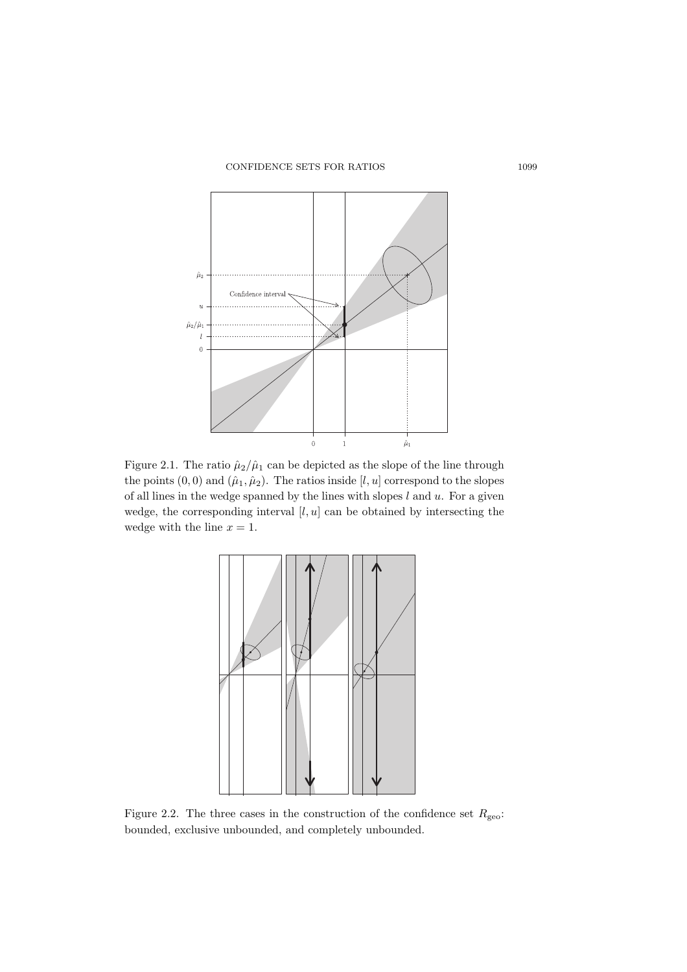

Figure 2.1. The ratio  $\hat{\mu}_2/\hat{\mu}_1$  can be depicted as the slope of the line through the points  $(0, 0)$  and  $(\hat{\mu}_1, \hat{\mu}_2)$ . The ratios inside [l, u] correspond to the slopes of all lines in the wedge spanned by the lines with slopes  $l$  and  $u$ . For a given wedge, the corresponding interval  $[l, u]$  can be obtained by intersecting the wedge with the line  $x = 1$ .



Figure 2.2. The three cases in the construction of the confidence set  $R_{\text{geo}}$ : bounded, exclusive unbounded, and completely unbounded.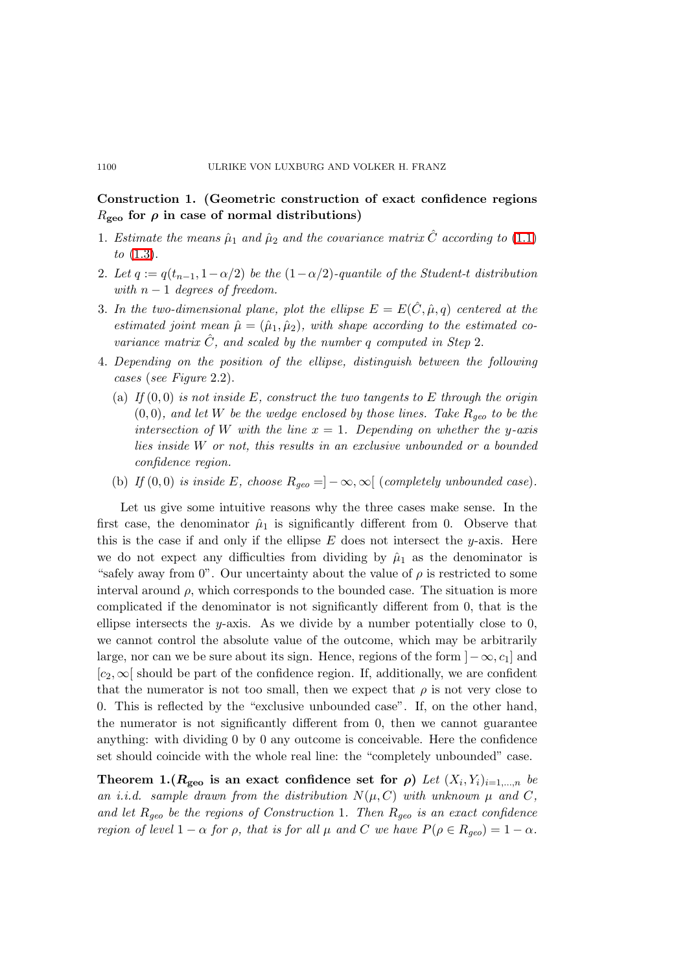# Construction 1. (Geometric construction of exact confidence regions  $R_{\text{geo}}$  for  $\rho$  in case of normal distributions)

- 1. Estimate the means  $\hat{\mu}_1$  and  $\hat{\mu}_2$  and the covariance matrix  $\hat{C}$  according to [\(1.1\)](#page-2-0) to  $(1.3)$ .
- 2. Let  $q := q(t_{n-1}, 1-\alpha/2)$  be the  $(1-\alpha/2)$ -quantile of the Student-t distribution with  $n-1$  degrees of freedom.
- 3. In the two-dimensional plane, plot the ellipse  $E = E(\hat{C}, \hat{\mu}, q)$  centered at the estimated joint mean  $\hat{\mu} = (\hat{\mu}_1, \hat{\mu}_2)$ , with shape according to the estimated covariance matrix  $\hat{C}$ , and scaled by the number q computed in Step 2.
- 4. Depending on the position of the ellipse, distinguish between the following cases (see Figure 2.2).
	- (a) If  $(0,0)$  is not inside E, construct the two tangents to E through the origin  $(0,0)$ , and let W be the wedge enclosed by those lines. Take  $R_{\text{geo}}$  to be the intersection of W with the line  $x = 1$ . Depending on whether the y-axis lies inside W or not, this results in an exclusive unbounded or a bounded confidence region.
	- (b) If (0,0) is inside E, choose  $R_{q\neq 0} = ]-\infty, \infty[$  (completely unbounded case).

Let us give some intuitive reasons why the three cases make sense. In the first case, the denominator  $\hat{\mu}_1$  is significantly different from 0. Observe that this is the case if and only if the ellipse  $E$  does not intersect the y-axis. Here we do not expect any difficulties from dividing by  $\hat{\mu}_1$  as the denominator is "safely away from 0". Our uncertainty about the value of  $\rho$  is restricted to some interval around  $\rho$ , which corresponds to the bounded case. The situation is more complicated if the denominator is not significantly different from 0, that is the ellipse intersects the y-axis. As we divide by a number potentially close to  $0$ , we cannot control the absolute value of the outcome, which may be arbitrarily large, nor can we be sure about its sign. Hence, regions of the form  $]-\infty, c_1]$  and  $[c_2,\infty]$  should be part of the confidence region. If, additionally, we are confident that the numerator is not too small, then we expect that  $\rho$  is not very close to 0. This is reflected by the "exclusive unbounded case". If, on the other hand, the numerator is not significantly different from 0, then we cannot guarantee anything: with dividing 0 by 0 any outcome is conceivable. Here the confidence set should coincide with the whole real line: the "completely unbounded" case.

Theorem 1. $(R_{\rm geo}$  is an exact confidence set for  $\rho$ ) Let  $(X_i, Y_i)_{i=1,...,n}$  be an i.i.d. sample drawn from the distribution  $N(\mu, C)$  with unknown  $\mu$  and C, and let  $R_{q\epsilon o}$  be the regions of Construction 1. Then  $R_{q\epsilon o}$  is an exact confidence region of level  $1 - \alpha$  for  $\rho$ , that is for all  $\mu$  and C we have  $P(\rho \in R_{\text{geo}}) = 1 - \alpha$ .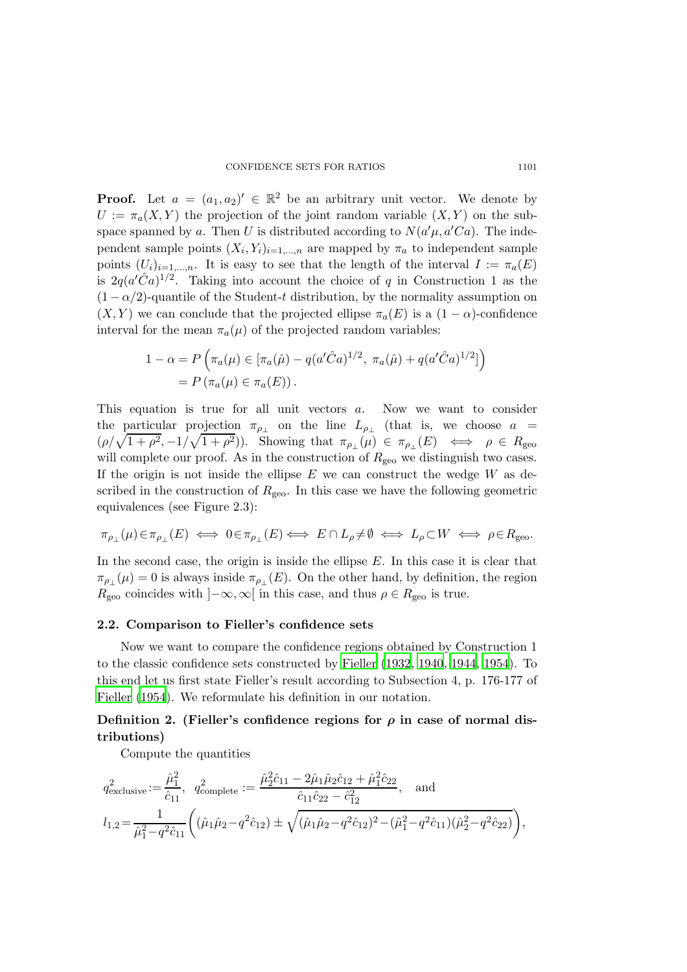**Proof.** Let  $a = (a_1, a_2)' \in \mathbb{R}^2$  be an arbitrary unit vector. We denote by  $U := \pi_a(X, Y)$  the projection of the joint random variable  $(X, Y)$  on the subspace spanned by a. Then U is distributed according to  $N(a'\mu, a'Ca)$ . The independent sample points  $(X_i, Y_i)_{i=1,\dots,n}$  are mapped by  $\pi_a$  to independent sample points  $(U_i)_{i=1,\dots,n}$ . It is easy to see that the length of the interval  $I := \pi_a(E)$ is  $2q(a'\hat{C}a)^{1/2}$ . Taking into account the choice of q in Construction 1 as the  $(1 - \alpha/2)$ -quantile of the Student-t distribution, by the normality assumption on  $(X, Y)$  we can conclude that the projected ellipse  $\pi_a(E)$  is a  $(1 - \alpha)$ -confidence interval for the mean  $\pi_a(\mu)$  of the projected random variables:

$$
1 - \alpha = P\left(\pi_a(\mu) \in [\pi_a(\hat{\mu}) - q(a'\hat{C}a)^{1/2}, \ \pi_a(\hat{\mu}) + q(a'\hat{C}a)^{1/2}]\right)
$$
  
=  $P(\pi_a(\mu) \in \pi_a(E)).$ 

This equation is true for all unit vectors a. Now we want to consider the particular projection  $\pi_{\rho_{\perp}}$  on the line  $L_{\rho_{\perp}}$  (that is, we choose  $a =$  $(\rho/\sqrt{1+\rho^2}, -1/\sqrt{1+\rho^2})$ ). Showing that  $\pi_{\rho}(\mu) \in \pi_{\rho}(\mathcal{E}) \iff \rho \in R_{\text{geo}}$ will complete our proof. As in the construction of  $R_{\text{geo}}$  we distinguish two cases. If the origin is not inside the ellipse  $E$  we can construct the wedge  $W$  as described in the construction of  $R_{\text{geo}}$ . In this case we have the following geometric equivalences (see Figure 2.3):

$$
\pi_{\rho_\bot}(\mu)\!\in\!\pi_{\rho_\bot}(E)\iff 0\!\in\!\pi_{\rho_\bot}(E)\!\iff E\cap L_\rho\!\neq\!\emptyset\iff L_\rho\!\subset\!W\iff \rho\!\in\!R_{\rm geo}.
$$

In the second case, the origin is inside the ellipse  $E$ . In this case it is clear that  $\pi_{\rho_{\perp}}(\mu) = 0$  is always inside  $\pi_{\rho_{\perp}}(E)$ . On the other hand, by definition, the region  $R_{\rm geo}$  coincides with  $]-\infty,\infty[$  in this case, and thus  $\rho \in R_{\rm geo}$  is true.

### 2.2. Comparison to Fieller's confidence sets

Now we want to compare the confidence regions obtained by Construction 1 to the classic confidence sets constructed by [Fieller \(1932,](#page-21-2) [1940](#page-21-3), [1944](#page-21-4), [1954\)](#page-21-5). To this end let us first state Fieller's result according to Subsection 4, p. 176-177 of [Fieller \(1954\)](#page-21-5). We reformulate his definition in our notation.

# Definition 2. (Fieller's confidence regions for  $\rho$  in case of normal distributions)

Compute the quantities

$$
q_{\text{exclusive}}^2 := \frac{\hat{\mu}_1^2}{\hat{c}_{11}}, \quad q_{\text{complete}}^2 := \frac{\hat{\mu}_2^2 \hat{c}_{11} - 2\hat{\mu}_1 \hat{\mu}_2 \hat{c}_{12} + \hat{\mu}_1^2 \hat{c}_{22}}{\hat{c}_{11} \hat{c}_{22} - \hat{c}_{12}^2}, \quad \text{and}
$$
  

$$
l_{1,2} = \frac{1}{\hat{\mu}_1^2 - q^2 \hat{c}_{11}} \left( (\hat{\mu}_1 \hat{\mu}_2 - q^2 \hat{c}_{12}) \pm \sqrt{(\hat{\mu}_1 \hat{\mu}_2 - q^2 \hat{c}_{12})^2 - (\hat{\mu}_1^2 - q^2 \hat{c}_{11})(\hat{\mu}_2^2 - q^2 \hat{c}_{22})} \right),
$$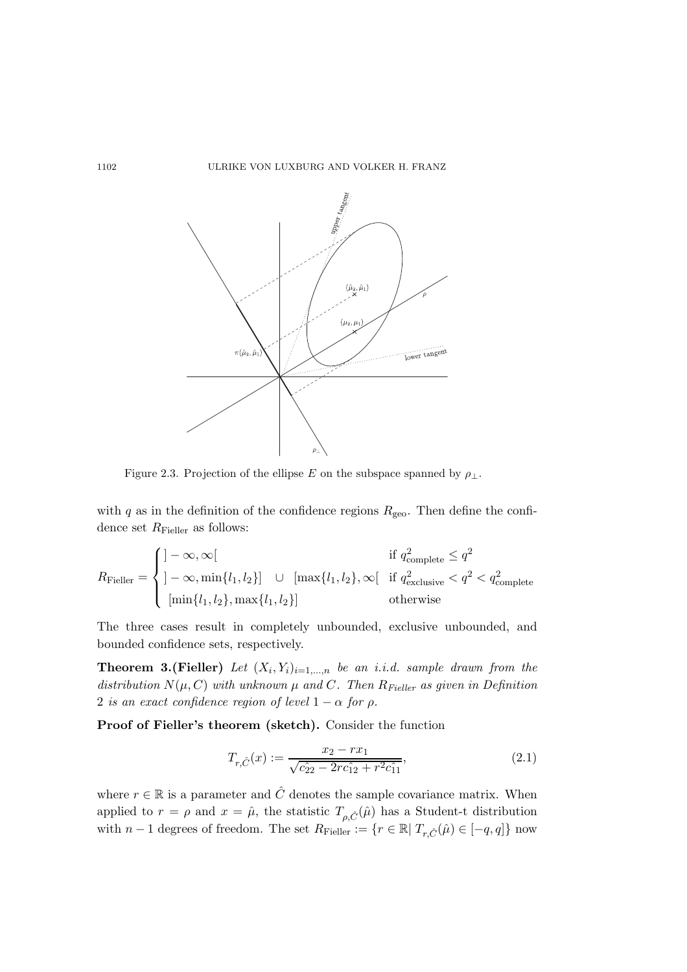

Figure 2.3. Projection of the ellipse E on the subspace spanned by  $\rho_{\perp}$ .

with q as in the definition of the confidence regions  $R_{\text{geo}}$ . Then define the confidence set  $R_{\text{Fieller}}$  as follows:

$$
R_{\text{Fielder}} = \begin{cases} \n\left] -\infty, \infty \right[ & \text{if } q_{\text{complete}}^2 \leq q^2 \\ \n-\infty, \min\{l_1, l_2\} & \cup \left[ \max\{l_1, l_2\}, \infty \right[ & \text{if } q_{\text{exclusive}}^2 < q^2 < q_{\text{complete}}^2 \\ \n\left[ \min\{l_1, l_2\}, \max\{l_1, l_2\} \right] & \text{otherwise} \n\end{cases}
$$

The three cases result in completely unbounded, exclusive unbounded, and bounded confidence sets, respectively.

**Theorem 3. (Fieller)** Let  $(X_i, Y_i)_{i=1,\dots,n}$  be an i.i.d. sample drawn from the distribution  $N(\mu, C)$  with unknown  $\mu$  and C. Then  $R_{Fieller}$  as given in Definition 2 is an exact confidence region of level  $1 - \alpha$  for  $\rho$ .

Proof of Fieller's theorem (sketch). Consider the function

<span id="page-7-0"></span>
$$
T_{r,\hat{C}}(x) := \frac{x_2 - rx_1}{\sqrt{c_{22}^2 - 2rc_{12}^2 + r^2c_{11}^2}},\tag{2.1}
$$

where  $r \in \mathbb{R}$  is a parameter and  $\hat{C}$  denotes the sample covariance matrix. When applied to  $r = \rho$  and  $x = \hat{\mu}$ , the statistic  $T_{\rho,\hat{C}}(\hat{\mu})$  has a Student-t distribution with  $n-1$  degrees of freedom. The set  $R_{\text{Fieller}} := \{r \in \mathbb{R} | T_{r,\hat{C}}(\hat{\mu}) \in [-q, q] \}$  now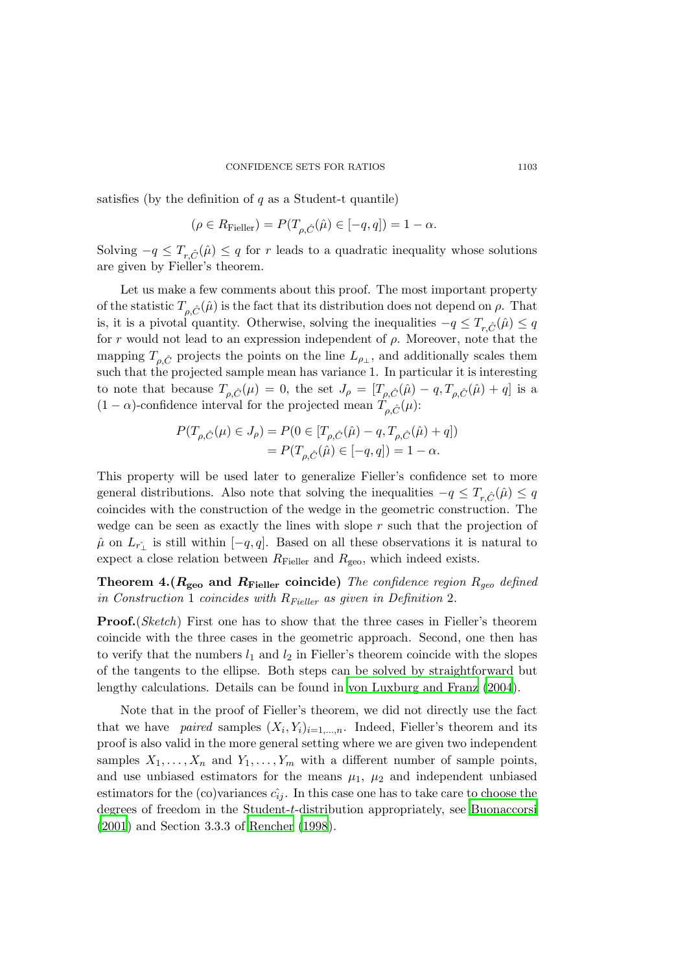satisfies (by the definition of  $q$  as a Student-t quantile)

$$
(\rho \in R_{\text{Fieller}}) = P(T_{\rho,\hat{C}}(\hat{\mu}) \in [-q,q]) = 1 - \alpha.
$$

Solving  $-q \leq T_{r,\hat{C}}(\hat{\mu}) \leq q$  for r leads to a quadratic inequality whose solutions are given by Fieller's theorem.

Let us make a few comments about this proof. The most important property of the statistic  $T_{\rho,\hat{C}}(\hat{\mu})$  is the fact that its distribution does not depend on  $\rho$ . That is, it is a pivotal quantity. Otherwise, solving the inequalities  $-q \le T_{r,\hat{C}}(\hat{\mu}) \le q$ for r would not lead to an expression independent of  $\rho$ . Moreover, note that the mapping  $T_{\rho,\hat{C}}$  projects the points on the line  $L_{\rho_{\perp}}$ , and additionally scales them such that the projected sample mean has variance 1. In particular it is interesting to note that because  $T_{\rho,\hat{C}}(\mu) = 0$ , the set  $J_{\rho} = [T_{\rho,\hat{C}}(\hat{\mu}) - q, T_{\rho,\hat{C}}(\hat{\mu}) + q]$  is a  $(1 - \alpha)$ -confidence interval for the projected mean  $T_{\rho,\hat{C}}(\mu)$ :

$$
P(T_{\rho,\hat{C}}(\mu) \in J_{\rho}) = P(0 \in [T_{\rho,\hat{C}}(\hat{\mu}) - q, T_{\rho,\hat{C}}(\hat{\mu}) + q])
$$
  
=  $P(T_{\rho,\hat{C}}(\hat{\mu}) \in [-q, q]) = 1 - \alpha$ .

This property will be used later to generalize Fieller's confidence set to more general distributions. Also note that solving the inequalities  $-q \leq T_{r,\hat{C}}(\hat{\mu}) \leq q$ coincides with the construction of the wedge in the geometric construction. The wedge can be seen as exactly the lines with slope  $r$  such that the projection of  $\hat{\mu}$  on  $L_{r\hat{\perp}}$  is still within  $[-q, q]$ . Based on all these observations it is natural to expect a close relation between  $R_{\text{Fieller}}$  and  $R_{\text{geo}}$ , which indeed exists.

Theorem 4.( $R_{\text{geo}}$  and  $R_{\text{Fieller}}$  coincide) The confidence region  $R_{\text{geo}}$  defined in Construction 1 coincides with  $R_{Fielder}$  as given in Definition 2.

**Proof.**(Sketch) First one has to show that the three cases in Fieller's theorem coincide with the three cases in the geometric approach. Second, one then has to verify that the numbers  $l_1$  and  $l_2$  in Fieller's theorem coincide with the slopes of the tangents to the ellipse. Both steps can be solved by straightforward but lengthy calculations. Details can be found in [von Luxburg and Franz \(2004](#page-22-7)).

Note that in the proof of Fieller's theorem, we did not directly use the fact that we have *paired* samples  $(X_i, Y_i)_{i=1,\dots,n}$ . Indeed, Fieller's theorem and its proof is also valid in the more general setting where we are given two independent samples  $X_1, \ldots, X_n$  and  $Y_1, \ldots, Y_m$  with a different number of sample points, and use unbiased estimators for the means  $\mu_1$ ,  $\mu_2$  and independent unbiased estimators for the (co)variances  $\hat{c}_{ij}$ . In this case one has to take care to choose the degrees of freedom in the Student-t-distribution appropriately, see [Buonaccorsi](#page-21-0) [\(2001](#page-21-0)) and Section 3.3.3 of [Rencher \(1998](#page-22-8)).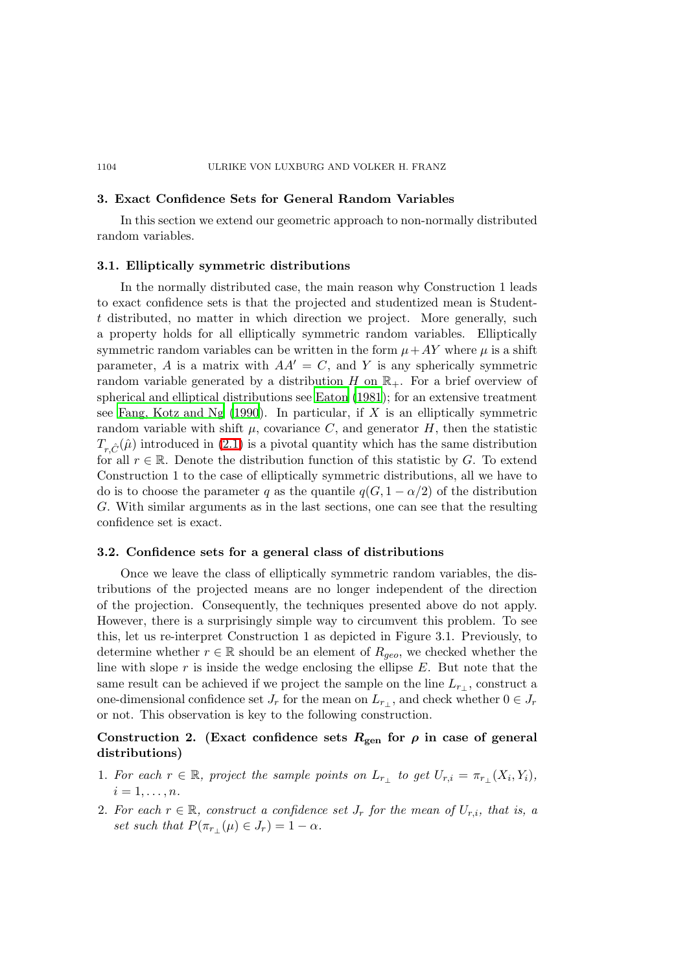## 3. Exact Confidence Sets for General Random Variables

In this section we extend our geometric approach to non-normally distributed random variables.

### 3.1. Elliptically symmetric distributions

In the normally distributed case, the main reason why Construction 1 leads to exact confidence sets is that the projected and studentized mean is Studentt distributed, no matter in which direction we project. More generally, such a property holds for all elliptically symmetric random variables. Elliptically symmetric random variables can be written in the form  $\mu + AY$  where  $\mu$  is a shift parameter, A is a matrix with  $AA' = C$ , and Y is any spherically symmetric random variable generated by a distribution H on  $\mathbb{R}_+$ . For a brief overview of spherical and elliptical distributions see [Eaton \(1981\)](#page-21-15); for an extensive treatment see Fang, Kotz and Ng  $(1990)$ . In particular, if X is an elliptically symmetric random variable with shift  $\mu$ , covariance C, and generator H, then the statistic  $T_{r,\hat{C}}(\hat{\mu})$  introduced in [\(2.1\)](#page-7-0) is a pivotal quantity which has the same distribution for all  $r \in \mathbb{R}$ . Denote the distribution function of this statistic by G. To extend Construction 1 to the case of elliptically symmetric distributions, all we have to do is to choose the parameter q as the quantile  $q(G, 1 - \alpha/2)$  of the distribution G. With similar arguments as in the last sections, one can see that the resulting confidence set is exact.

## 3.2. Confidence sets for a general class of distributions

Once we leave the class of elliptically symmetric random variables, the distributions of the projected means are no longer independent of the direction of the projection. Consequently, the techniques presented above do not apply. However, there is a surprisingly simple way to circumvent this problem. To see this, let us re-interpret Construction 1 as depicted in Figure 3.1. Previously, to determine whether  $r \in \mathbb{R}$  should be an element of  $R_{\text{geo}}$ , we checked whether the line with slope  $r$  is inside the wedge enclosing the ellipse  $E$ . But note that the same result can be achieved if we project the sample on the line  $L_{r_{\perp}}$ , construct a one-dimensional confidence set  $J_r$  for the mean on  $L_{r_\perp}$ , and check whether  $0 \in J_r$ or not. This observation is key to the following construction.

# Construction 2. (Exact confidence sets  $R_{gen}$  for  $\rho$  in case of general distributions)

- 1. For each  $r \in \mathbb{R}$ , project the sample points on  $L_{r_{\perp}}$  to get  $U_{r,i} = \pi_{r_{\perp}}(X_i, Y_i)$ ,  $i=1,\ldots,n$ .
- 2. For each  $r \in \mathbb{R}$ , construct a confidence set  $J_r$  for the mean of  $U_{r,i}$ , that is, a set such that  $P(\pi_{r_\perp}(\mu) \in J_r) = 1 - \alpha$ .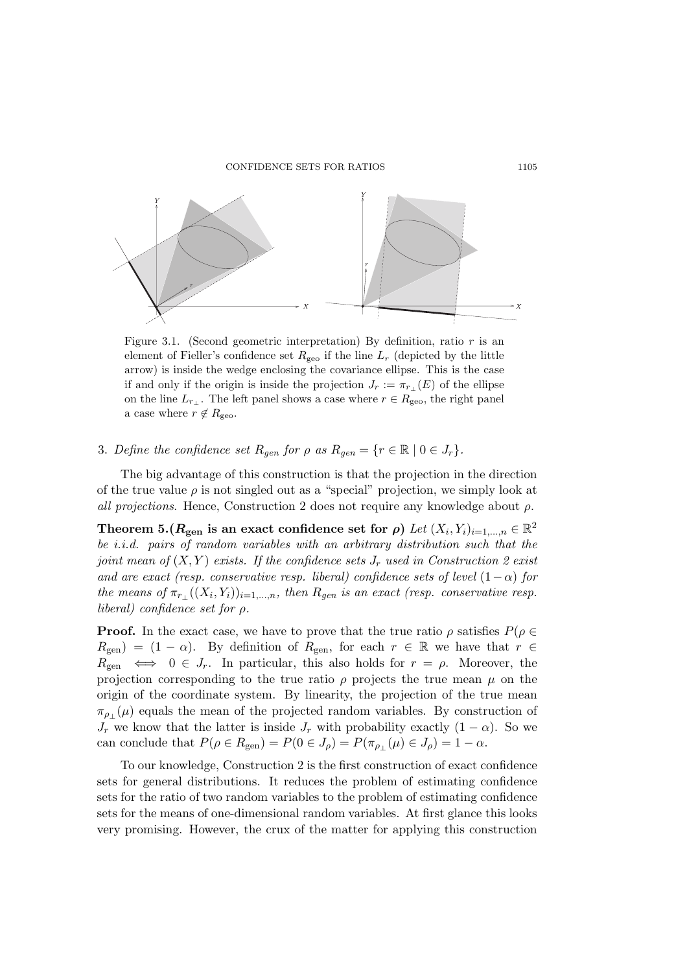

Figure 3.1. (Second geometric interpretation) By definition, ratio  $r$  is an element of Fieller's confidence set  $R_{\text{geo}}$  if the line  $L_r$  (depicted by the little arrow) is inside the wedge enclosing the covariance ellipse. This is the case if and only if the origin is inside the projection  $J_r := \pi_{r_+}(E)$  of the ellipse on the line  $L_{r}$ . The left panel shows a case where  $r \in R_{\text{geo}}$ , the right panel a case where  $r \notin R_{\text{geo}}$ .

# 3. Define the confidence set  $R_{gen}$  for  $\rho$  as  $R_{gen} = \{ r \in \mathbb{R} \mid 0 \in J_r \}.$

The big advantage of this construction is that the projection in the direction of the true value  $\rho$  is not singled out as a "special" projection, we simply look at all projections. Hence, Construction 2 does not require any knowledge about  $\rho$ .

Theorem 5. $(\bm{R_{\text{gen}}}$  is an exact confidence set for  $\bm{\rho})$  Let  $(X_i, Y_i)_{i=1,...,n} \in \mathbb{R}^2$ be i.i.d. pairs of random variables with an arbitrary distribution such that the joint mean of  $(X, Y)$  exists. If the confidence sets  $J_r$  used in Construction 2 exist and are exact (resp. conservative resp. liberal) confidence sets of level  $(1-\alpha)$  for the means of  $\pi_{r_{\perp}}((X_i,Y_i))_{i=1,\dots,n}$ , then  $R_{gen}$  is an exact (resp. conservative resp. liberal) confidence set for  $\rho$ .

**Proof.** In the exact case, we have to prove that the true ratio  $\rho$  satisfies  $P(\rho \in$  $R_{gen}$  = (1 –  $\alpha$ ). By definition of  $R_{gen}$ , for each  $r \in \mathbb{R}$  we have that  $r \in \mathbb{R}$  $R_{\text{gen}} \iff 0 \in J_r$ . In particular, this also holds for  $r = \rho$ . Moreover, the projection corresponding to the true ratio  $\rho$  projects the true mean  $\mu$  on the origin of the coordinate system. By linearity, the projection of the true mean  $\pi_{\rho_{\perp}}(\mu)$  equals the mean of the projected random variables. By construction of  $J_r$  we know that the latter is inside  $J_r$  with probability exactly  $(1 - \alpha)$ . So we can conclude that  $P(\rho \in R_{gen}) = P(0 \in J_{\rho}) = P(\pi_{\rho}(\mu) \in J_{\rho}) = 1 - \alpha$ .

To our knowledge, Construction 2 is the first construction of exact confidence sets for general distributions. It reduces the problem of estimating confidence sets for the ratio of two random variables to the problem of estimating confidence sets for the means of one-dimensional random variables. At first glance this looks very promising. However, the crux of the matter for applying this construction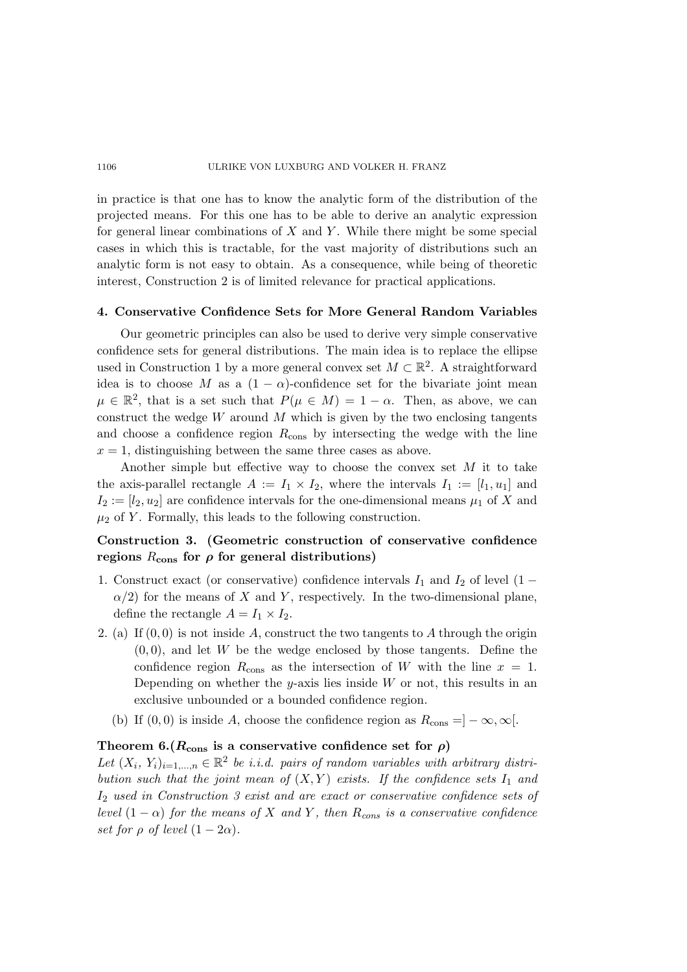in practice is that one has to know the analytic form of the distribution of the projected means. For this one has to be able to derive an analytic expression for general linear combinations of  $X$  and  $Y$ . While there might be some special cases in which this is tractable, for the vast majority of distributions such an analytic form is not easy to obtain. As a consequence, while being of theoretic interest, Construction 2 is of limited relevance for practical applications.

## 4. Conservative Confidence Sets for More General Random Variables

Our geometric principles can also be used to derive very simple conservative confidence sets for general distributions. The main idea is to replace the ellipse used in Construction 1 by a more general convex set  $M \subset \mathbb{R}^2$ . A straightforward idea is to choose M as a  $(1 - \alpha)$ -confidence set for the bivariate joint mean  $\mu \in \mathbb{R}^2$ , that is a set such that  $P(\mu \in M) = 1 - \alpha$ . Then, as above, we can construct the wedge  $W$  around  $M$  which is given by the two enclosing tangents and choose a confidence region  $R_{\text{cons}}$  by intersecting the wedge with the line  $x = 1$ , distinguishing between the same three cases as above.

Another simple but effective way to choose the convex set  $M$  it to take the axis-parallel rectangle  $A := I_1 \times I_2$ , where the intervals  $I_1 := [l_1, u_1]$  and  $I_2 := [l_2, u_2]$  are confidence intervals for the one-dimensional means  $\mu_1$  of X and  $\mu_2$  of Y. Formally, this leads to the following construction.

# Construction 3. (Geometric construction of conservative confidence regions  $R_{\text{cons}}$  for  $\rho$  for general distributions)

- 1. Construct exact (or conservative) confidence intervals  $I_1$  and  $I_2$  of level (1 −  $\alpha/2$ ) for the means of X and Y, respectively. In the two-dimensional plane, define the rectangle  $A = I_1 \times I_2$ .
- 2. (a) If  $(0,0)$  is not inside A, construct the two tangents to A through the origin  $(0, 0)$ , and let W be the wedge enclosed by those tangents. Define the confidence region  $R_{\text{cons}}$  as the intersection of W with the line  $x = 1$ . Depending on whether the y-axis lies inside  $W$  or not, this results in an exclusive unbounded or a bounded confidence region.
	- (b) If  $(0, 0)$  is inside A, choose the confidence region as  $R_{\text{cons}} = ] \infty, \infty[$ .

# Theorem 6.( $R_{\text{cons}}$  is a conservative confidence set for  $\rho$ )

Let  $(X_i, Y_i)_{i=1,\dots,n} \in \mathbb{R}^2$  be i.i.d. pairs of random variables with arbitrary distribution such that the joint mean of  $(X, Y)$  exists. If the confidence sets  $I_1$  and  $I_2$  used in Construction 3 exist and are exact or conservative confidence sets of level  $(1 - \alpha)$  for the means of X and Y, then  $R_{cons}$  is a conservative confidence set for  $\rho$  of level  $(1 - 2\alpha)$ .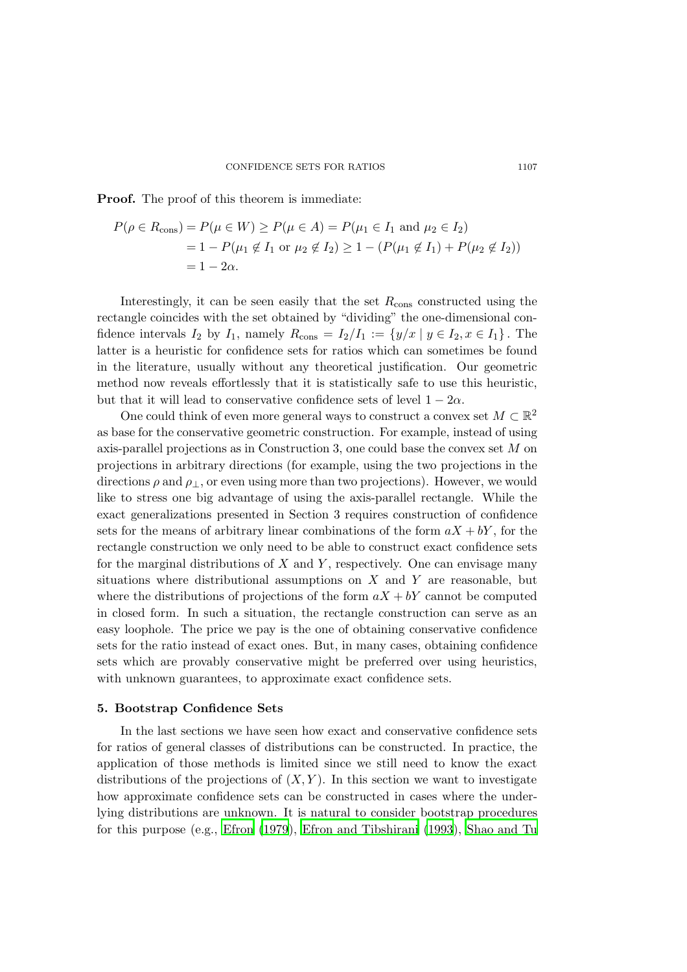Proof. The proof of this theorem is immediate:

$$
P(\rho \in R_{\text{cons}}) = P(\mu \in W) \ge P(\mu \in A) = P(\mu_1 \in I_1 \text{ and } \mu_2 \in I_2)
$$
  
= 1 - P(\mu\_1 \notin I\_1 \text{ or } \mu\_2 \notin I\_2) \ge 1 - (P(\mu\_1 \notin I\_1) + P(\mu\_2 \notin I\_2))  
= 1 - 2\alpha.

Interestingly, it can be seen easily that the set  $R_{\text{cons}}$  constructed using the rectangle coincides with the set obtained by "dividing" the one-dimensional confidence intervals  $I_2$  by  $I_1$ , namely  $R_{\text{cons}} = I_2/I_1 := \{y/x \mid y \in I_2, x \in I_1\}$ . The latter is a heuristic for confidence sets for ratios which can sometimes be found in the literature, usually without any theoretical justification. Our geometric method now reveals effortlessly that it is statistically safe to use this heuristic, but that it will lead to conservative confidence sets of level  $1 - 2\alpha$ .

One could think of even more general ways to construct a convex set  $M\subset \mathbb{R}^2$ as base for the conservative geometric construction. For example, instead of using axis-parallel projections as in Construction 3, one could base the convex set M on projections in arbitrary directions (for example, using the two projections in the directions  $\rho$  and  $\rho_{\perp}$ , or even using more than two projections). However, we would like to stress one big advantage of using the axis-parallel rectangle. While the exact generalizations presented in Section 3 requires construction of confidence sets for the means of arbitrary linear combinations of the form  $aX + bY$ , for the rectangle construction we only need to be able to construct exact confidence sets for the marginal distributions of  $X$  and  $Y$ , respectively. One can envisage many situations where distributional assumptions on  $X$  and  $Y$  are reasonable, but where the distributions of projections of the form  $aX + bY$  cannot be computed in closed form. In such a situation, the rectangle construction can serve as an easy loophole. The price we pay is the one of obtaining conservative confidence sets for the ratio instead of exact ones. But, in many cases, obtaining confidence sets which are provably conservative might be preferred over using heuristics, with unknown guarantees, to approximate exact confidence sets.

### 5. Bootstrap Confidence Sets

In the last sections we have seen how exact and conservative confidence sets for ratios of general classes of distributions can be constructed. In practice, the application of those methods is limited since we still need to know the exact distributions of the projections of  $(X, Y)$ . In this section we want to investigate how approximate confidence sets can be constructed in cases where the underlying distributions are unknown. It is natural to consider bootstrap procedures for this purpose (e.g., [Efron \(1979](#page-21-17)), [Efron and Tibshirani \(1993](#page-21-18)), [Shao and Tu](#page-22-6)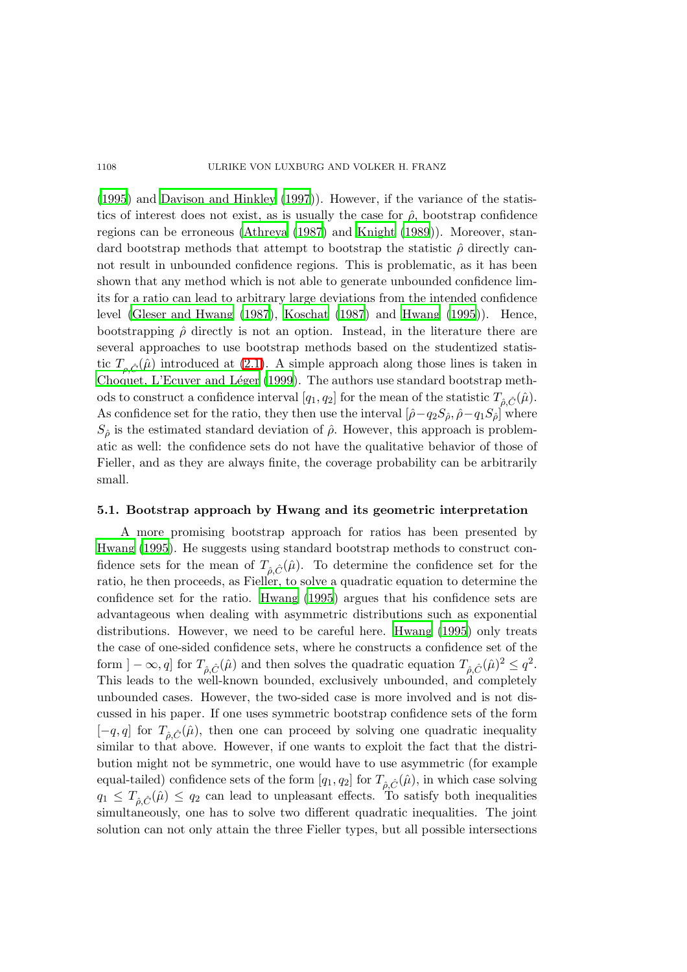[\(1995](#page-22-6)) and [Davison and Hinkley \(1997\)](#page-21-19)). However, if the variance of the statistics of interest does not exist, as is usually the case for  $\hat{\rho}$ , bootstrap confidence regions can be erroneous [\(Athreya](#page-20-0) [\(1987](#page-20-0)) and [Knight \(1989](#page-21-20))). Moreover, standard bootstrap methods that attempt to bootstrap the statistic  $\hat{\rho}$  directly cannot result in unbounded confidence regions. This is problematic, as it has been shown that any method which is not able to generate unbounded confidence limits for a ratio can lead to arbitrary large deviations from the intended confidence level [\(Gleser and Hwang](#page-21-8) [\(1987](#page-21-8)), [Koschat \(1987](#page-22-1)) and [Hwang \(1995](#page-21-9))). Hence, bootstrapping  $\hat{\rho}$  directly is not an option. Instead, in the literature there are several approaches to use bootstrap methods based on the studentized statistic  $T_{\rho,\hat{C}}(\hat{\mu})$  introduced at [\(2.1\)](#page-7-0). A simple approach along those lines is taken in Choquet, L'Ecuyer and Léger (1999). The authors use standard bootstrap methods to construct a confidence interval  $[q_1, q_2]$  for the mean of the statistic  $T_{\hat{\rho}, \hat{C}}(\hat{\mu})$ . As confidence set for the ratio, they then use the interval  $[\hat{\rho} - q_2 S_{\hat{\rho}}, \hat{\rho} - q_1 S_{\hat{\rho}}]$  where  $S_{\hat{\rho}}$  is the estimated standard deviation of  $\hat{\rho}$ . However, this approach is problematic as well: the confidence sets do not have the qualitative behavior of those of Fieller, and as they are always finite, the coverage probability can be arbitrarily small.

# 5.1. Bootstrap approach by Hwang and its geometric interpretation

A more promising bootstrap approach for ratios has been presented by [Hwang \(1995](#page-21-9)). He suggests using standard bootstrap methods to construct confidence sets for the mean of  $T_{\hat{\rho}, \hat{C}}(\hat{\mu})$ . To determine the confidence set for the ratio, he then proceeds, as Fieller, to solve a quadratic equation to determine the confidence set for the ratio. [Hwang \(1995\)](#page-21-9) argues that his confidence sets are advantageous when dealing with asymmetric distributions such as exponential distributions. However, we need to be careful here. [Hwang \(1995](#page-21-9)) only treats the case of one-sided confidence sets, where he constructs a confidence set of the form  $]-\infty, q]$  for  $T_{\hat{\rho}, \hat{C}}(\hat{\mu})$  and then solves the quadratic equation  $T_{\hat{\rho}, \hat{C}}(\hat{\mu})^2 \leq q^2$ . This leads to the well-known bounded, exclusively unbounded, and completely unbounded cases. However, the two-sided case is more involved and is not discussed in his paper. If one uses symmetric bootstrap confidence sets of the form  $[-q, q]$  for  $T_{\hat{\rho}, \hat{C}}(\hat{\mu})$ , then one can proceed by solving one quadratic inequality similar to that above. However, if one wants to exploit the fact that the distribution might not be symmetric, one would have to use asymmetric (for example equal-tailed) confidence sets of the form  $[q_1, q_2]$  for  $T_{\hat{\rho}, \hat{C}}(\hat{\mu})$ , in which case solving  $q_1 \leq T_{\hat{\rho}, \hat{C}}(\hat{\mu}) \leq q_2$  can lead to unpleasant effects. To satisfy both inequalities simultaneously, one has to solve two different quadratic inequalities. The joint solution can not only attain the three Fieller types, but all possible intersections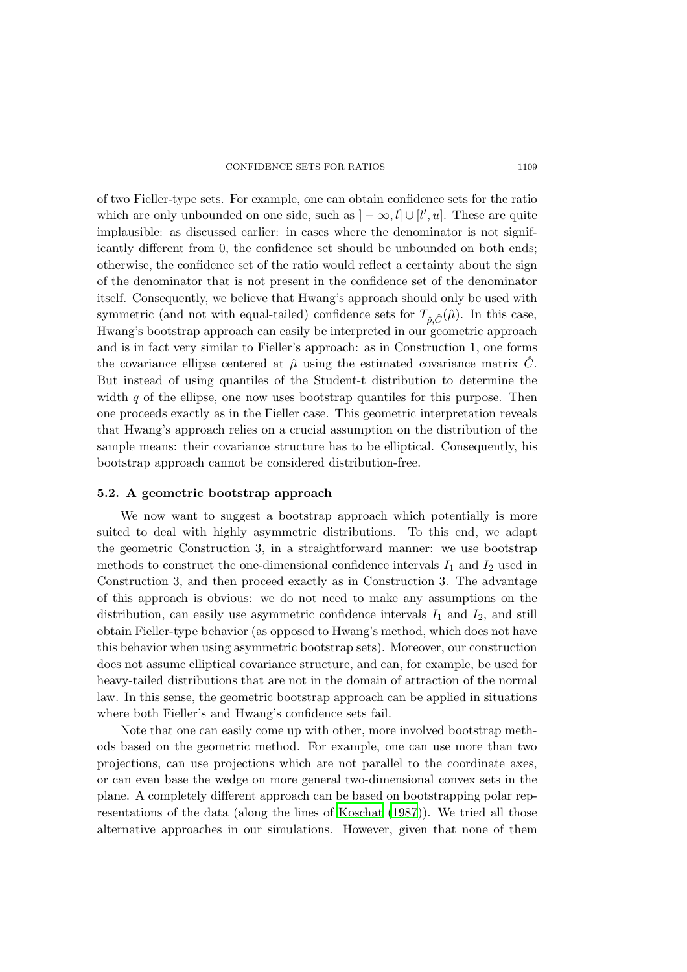of two Fieller-type sets. For example, one can obtain confidence sets for the ratio which are only unbounded on one side, such as  $]-\infty, l] \cup [l', u]$ . These are quite implausible: as discussed earlier: in cases where the denominator is not significantly different from 0, the confidence set should be unbounded on both ends; otherwise, the confidence set of the ratio would reflect a certainty about the sign of the denominator that is not present in the confidence set of the denominator itself. Consequently, we believe that Hwang's approach should only be used with symmetric (and not with equal-tailed) confidence sets for  $T_{\hat{\rho}, \hat{C}}(\hat{\mu})$ . In this case, Hwang's bootstrap approach can easily be interpreted in our geometric approach and is in fact very similar to Fieller's approach: as in Construction 1, one forms the covariance ellipse centered at  $\hat{\mu}$  using the estimated covariance matrix  $\hat{C}$ . But instead of using quantiles of the Student-t distribution to determine the width  $q$  of the ellipse, one now uses bootstrap quantiles for this purpose. Then one proceeds exactly as in the Fieller case. This geometric interpretation reveals that Hwang's approach relies on a crucial assumption on the distribution of the sample means: their covariance structure has to be elliptical. Consequently, his bootstrap approach cannot be considered distribution-free.

## 5.2. A geometric bootstrap approach

We now want to suggest a bootstrap approach which potentially is more suited to deal with highly asymmetric distributions. To this end, we adapt the geometric Construction 3, in a straightforward manner: we use bootstrap methods to construct the one-dimensional confidence intervals  $I_1$  and  $I_2$  used in Construction 3, and then proceed exactly as in Construction 3. The advantage of this approach is obvious: we do not need to make any assumptions on the distribution, can easily use asymmetric confidence intervals  $I_1$  and  $I_2$ , and still obtain Fieller-type behavior (as opposed to Hwang's method, which does not have this behavior when using asymmetric bootstrap sets). Moreover, our construction does not assume elliptical covariance structure, and can, for example, be used for heavy-tailed distributions that are not in the domain of attraction of the normal law. In this sense, the geometric bootstrap approach can be applied in situations where both Fieller's and Hwang's confidence sets fail.

Note that one can easily come up with other, more involved bootstrap methods based on the geometric method. For example, one can use more than two projections, can use projections which are not parallel to the coordinate axes, or can even base the wedge on more general two-dimensional convex sets in the plane. A completely different approach can be based on bootstrapping polar representations of the data (along the lines of [Koschat \(1987](#page-22-1))). We tried all those alternative approaches in our simulations. However, given that none of them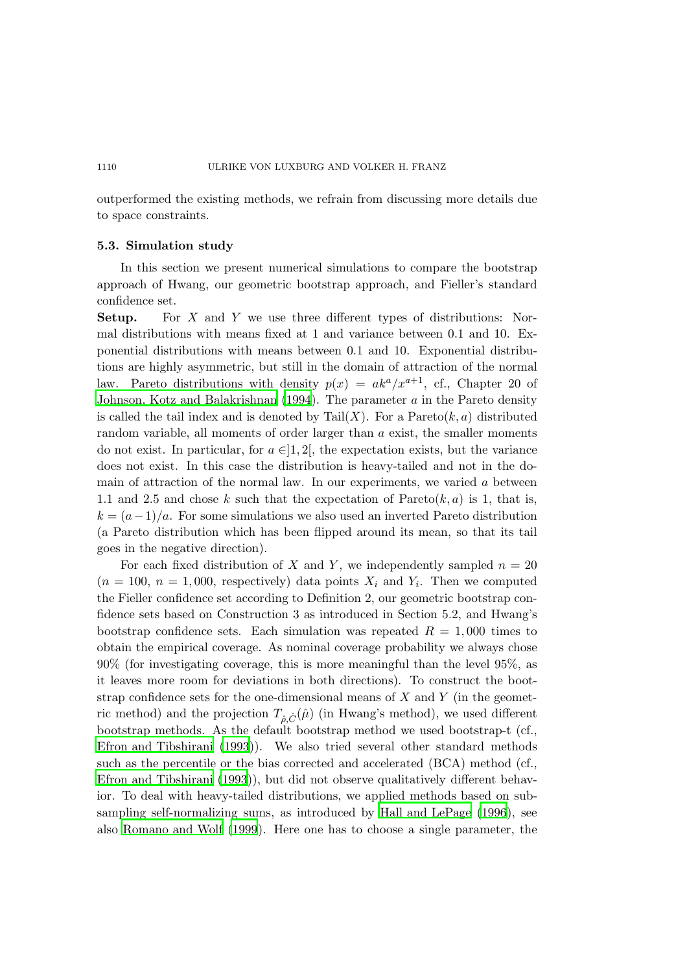outperformed the existing methods, we refrain from discussing more details due to space constraints.

# 5.3. Simulation study

In this section we present numerical simulations to compare the bootstrap approach of Hwang, our geometric bootstrap approach, and Fieller's standard confidence set.

Setup. For X and Y we use three different types of distributions: Normal distributions with means fixed at 1 and variance between 0.1 and 10. Exponential distributions with means between 0.1 and 10. Exponential distributions are highly asymmetric, but still in the domain of attraction of the normal law. Pareto distributions with density  $p(x) = ak^{a}/x^{a+1}$ , cf., Chapter 20 of [Johnson, Kotz and Balakrishnan \(1994](#page-21-22)). The parameter  $a$  in the Pareto density is called the tail index and is denoted by  $\text{Tail}(X)$ . For a Pareto $(k, a)$  distributed random variable, all moments of order larger than a exist, the smaller moments do not exist. In particular, for  $a \in ]1,2[$ , the expectation exists, but the variance does not exist. In this case the distribution is heavy-tailed and not in the domain of attraction of the normal law. In our experiments, we varied  $a$  between 1.1 and 2.5 and chose k such that the expectation of  $Pareto(k, a)$  is 1, that is,  $k = (a-1)/a$ . For some simulations we also used an inverted Pareto distribution (a Pareto distribution which has been flipped around its mean, so that its tail goes in the negative direction).

For each fixed distribution of X and Y, we independently sampled  $n = 20$  $(n = 100, n = 1,000,$  respectively) data points  $X_i$  and  $Y_i$ . Then we computed the Fieller confidence set according to Definition 2, our geometric bootstrap confidence sets based on Construction 3 as introduced in Section 5.2, and Hwang's bootstrap confidence sets. Each simulation was repeated  $R = 1,000$  times to obtain the empirical coverage. As nominal coverage probability we always chose 90% (for investigating coverage, this is more meaningful than the level 95%, as it leaves more room for deviations in both directions). To construct the bootstrap confidence sets for the one-dimensional means of  $X$  and  $Y$  (in the geometric method) and the projection  $T_{\hat{\rho}, \hat{C}}(\hat{\mu})$  (in Hwang's method), we used different bootstrap methods. As the default bootstrap method we used bootstrap-t (cf., [Efron and Tibshirani \(1993](#page-21-18))). We also tried several other standard methods such as the percentile or the bias corrected and accelerated (BCA) method (cf., [Efron and Tibshirani \(1993](#page-21-18))), but did not observe qualitatively different behavior. To deal with heavy-tailed distributions, we applied methods based on subsampling self-normalizing sums, as introduced by [Hall and LePage \(1996](#page-21-23)), see also [Romano and Wolf \(1999](#page-22-9)). Here one has to choose a single parameter, the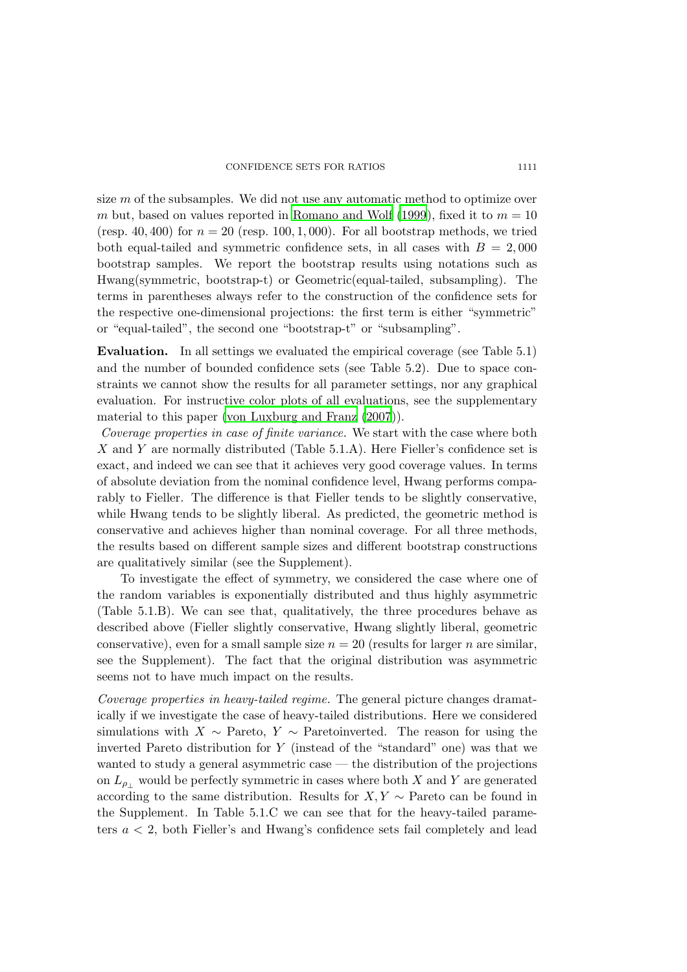size  $m$  of the subsamples. We did not use any automatic method to optimize over m but, based on values reported in [Romano and Wolf \(1999](#page-22-9)), fixed it to  $m = 10$ (resp. 40, 400) for  $n = 20$  (resp. 100, 1, 000). For all bootstrap methods, we tried both equal-tailed and symmetric confidence sets, in all cases with  $B = 2,000$ bootstrap samples. We report the bootstrap results using notations such as Hwang(symmetric, bootstrap-t) or Geometric(equal-tailed, subsampling). The terms in parentheses always refer to the construction of the confidence sets for the respective one-dimensional projections: the first term is either "symmetric" or "equal-tailed", the second one "bootstrap-t" or "subsampling".

Evaluation. In all settings we evaluated the empirical coverage (see Table 5.1) and the number of bounded confidence sets (see Table 5.2). Due to space constraints we cannot show the results for all parameter settings, nor any graphical evaluation. For instructive color plots of all evaluations, see the supplementary material to this paper [\(von Luxburg and Franz \(2007](#page-22-10))).

Coverage properties in case of finite variance. We start with the case where both X and Y are normally distributed (Table 5.1.A). Here Fieller's confidence set is exact, and indeed we can see that it achieves very good coverage values. In terms of absolute deviation from the nominal confidence level, Hwang performs comparably to Fieller. The difference is that Fieller tends to be slightly conservative, while Hwang tends to be slightly liberal. As predicted, the geometric method is conservative and achieves higher than nominal coverage. For all three methods, the results based on different sample sizes and different bootstrap constructions are qualitatively similar (see the Supplement).

To investigate the effect of symmetry, we considered the case where one of the random variables is exponentially distributed and thus highly asymmetric (Table 5.1.B). We can see that, qualitatively, the three procedures behave as described above (Fieller slightly conservative, Hwang slightly liberal, geometric conservative), even for a small sample size  $n = 20$  (results for larger n are similar, see the Supplement). The fact that the original distribution was asymmetric seems not to have much impact on the results.

Coverage properties in heavy-tailed regime. The general picture changes dramatically if we investigate the case of heavy-tailed distributions. Here we considered simulations with  $X \sim$  Pareto, Y  $\sim$  Paretoinverted. The reason for using the inverted Pareto distribution for Y (instead of the "standard" one) was that we wanted to study a general asymmetric case — the distribution of the projections on  $L_{\rho_{\perp}}$  would be perfectly symmetric in cases where both X and Y are generated according to the same distribution. Results for  $X, Y \sim$  Pareto can be found in the Supplement. In Table 5.1.C we can see that for the heavy-tailed parameters a < 2, both Fieller's and Hwang's confidence sets fail completely and lead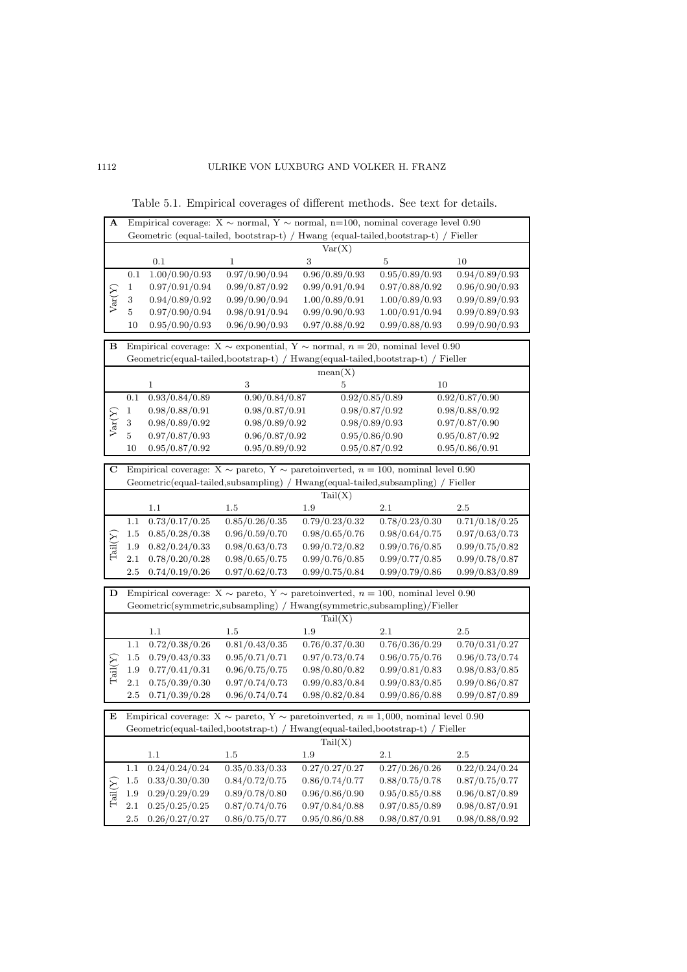Table 5.1. Empirical coverages of different methods. See text for details.

| A                        |                                                                                              | Empirical coverage: $X \sim$ normal, $Y \sim$ normal, n=100, nominal coverage level 0.90 |                                                                                                |                                  |                                  |                       |  |  |  |  |
|--------------------------|----------------------------------------------------------------------------------------------|------------------------------------------------------------------------------------------|------------------------------------------------------------------------------------------------|----------------------------------|----------------------------------|-----------------------|--|--|--|--|
|                          |                                                                                              | Geometric (equal-tailed, bootstrap-t) / Hwang (equal-tailed, bootstrap-t) / Fieller      |                                                                                                |                                  |                                  |                       |  |  |  |  |
|                          | Var(X)                                                                                       |                                                                                          |                                                                                                |                                  |                                  |                       |  |  |  |  |
|                          |                                                                                              | 0.1                                                                                      | 1                                                                                              | $\,3$                            | 5                                | 10                    |  |  |  |  |
|                          | 0.1                                                                                          | 1.00/0.90/0.93                                                                           | 0.97/0.90/0.94                                                                                 | 0.96/0.89/0.93                   | 0.95/0.89/0.93                   | 0.94/0.89/0.93        |  |  |  |  |
| $\mbox{Var}(\mathbf{Y})$ | 1                                                                                            | 0.97/0.91/0.94                                                                           | 0.99/0.87/0.92                                                                                 | 0.99/0.91/0.94                   | 0.97/0.88/0.92                   | 0.96/0.90/0.93        |  |  |  |  |
|                          | 3                                                                                            | 0.94/0.89/0.92                                                                           | 0.99/0.90/0.94                                                                                 | 1.00/0.89/0.91                   | 1.00/0.89/0.93                   | 0.99/0.89/0.93        |  |  |  |  |
|                          | $\bf 5$                                                                                      | 0.97/0.90/0.94                                                                           | 0.98/0.91/0.94                                                                                 | 0.99/0.90/0.93                   | 1.00/0.91/0.94                   | 0.99/0.89/0.93        |  |  |  |  |
|                          | 10                                                                                           | 0.95/0.90/0.93                                                                           | 0.96/0.90/0.93                                                                                 | 0.97/0.88/0.92                   | 0.99/0.88/0.93                   | 0.99/0.90/0.93        |  |  |  |  |
| в                        | Empirical coverage: X $\sim$ exponential, Y $\sim$ normal, $n = 20$ , nominal level 0.90     |                                                                                          |                                                                                                |                                  |                                  |                       |  |  |  |  |
|                          | Geometric(equal-tailed,bootstrap-t) / Hwang(equal-tailed,bootstrap-t) / Fieller              |                                                                                          |                                                                                                |                                  |                                  |                       |  |  |  |  |
|                          | mean(X)                                                                                      |                                                                                          |                                                                                                |                                  |                                  |                       |  |  |  |  |
|                          |                                                                                              | 1                                                                                        | 3                                                                                              | 5                                | 10                               |                       |  |  |  |  |
| Var(Y)                   | $0.1\,$                                                                                      | 0.93/0.84/0.89                                                                           | 0.90/0.84/0.87                                                                                 | 0.92/0.85/0.89                   |                                  | 0.92/0.87/0.90        |  |  |  |  |
|                          | $\mathbf{1}$                                                                                 | 0.98/0.88/0.91                                                                           | 0.98/0.87/0.91                                                                                 |                                  | 0.98/0.87/0.92<br>0.98/0.88/0.92 |                       |  |  |  |  |
|                          | $\,3$                                                                                        | 0.98/0.89/0.92                                                                           | 0.98/0.89/0.92                                                                                 | 0.98/0.89/0.93                   |                                  | 0.97/0.87/0.90        |  |  |  |  |
|                          | $\bf 5$                                                                                      | 0.97/0.87/0.93                                                                           | 0.96/0.87/0.92                                                                                 |                                  | 0.95/0.86/0.90<br>0.95/0.87/0.92 |                       |  |  |  |  |
|                          | 10                                                                                           | 0.95/0.87/0.92                                                                           | 0.95/0.89/0.92                                                                                 | 0.95/0.87/0.92                   |                                  | 0.95/0.86/0.91        |  |  |  |  |
|                          |                                                                                              |                                                                                          |                                                                                                |                                  |                                  |                       |  |  |  |  |
| С                        | Empirical coverage: X $\sim$ pareto, Y $\sim$ paretoinverted, $n = 100$ , nominal level 0.90 |                                                                                          |                                                                                                |                                  |                                  |                       |  |  |  |  |
|                          |                                                                                              | Geometric(equal-tailed,subsampling) / Hwang(equal-tailed,subsampling) / Fieller          |                                                                                                |                                  |                                  |                       |  |  |  |  |
|                          |                                                                                              |                                                                                          |                                                                                                | Tail(X)                          |                                  |                       |  |  |  |  |
| $\mathrm{Tail}(Y)$       | $\overline{1.1}$                                                                             | 1.1<br>0.73/0.17/0.25                                                                    | $1.5\,$<br>0.85/0.26/0.35                                                                      | 1.9<br>0.79/0.23/0.32            | 2.1<br>0.78/0.23/0.30            | 2.5<br>0.71/0.18/0.25 |  |  |  |  |
|                          |                                                                                              | 0.85/0.28/0.38                                                                           | 0.96/0.59/0.70                                                                                 | 0.98/0.65/0.76                   |                                  | 0.97/0.63/0.73        |  |  |  |  |
|                          | $1.5\,$<br>1.9                                                                               | 0.82/0.24/0.33                                                                           | 0.98/0.63/0.73                                                                                 | 0.99/0.72/0.82                   | 0.98/0.64/0.75<br>0.99/0.76/0.85 | 0.99/0.75/0.82        |  |  |  |  |
|                          | $2.1\,$                                                                                      | 0.78/0.20/0.28                                                                           | 0.98/0.65/0.75                                                                                 |                                  | 0.99/0.77/0.85                   | 0.99/0.78/0.87        |  |  |  |  |
|                          | $2.5\,$                                                                                      | 0.74/0.19/0.26                                                                           | 0.97/0.62/0.73                                                                                 | 0.99/0.76/0.85<br>0.99/0.75/0.84 | 0.99/0.79/0.86                   | 0.99/0.83/0.89        |  |  |  |  |
|                          |                                                                                              |                                                                                          |                                                                                                |                                  |                                  |                       |  |  |  |  |
| D                        |                                                                                              |                                                                                          | Empirical coverage: X $\sim$ pareto, Y $\sim$ paretoinverted, $n = 100$ , nominal level 0.90   |                                  |                                  |                       |  |  |  |  |
|                          |                                                                                              |                                                                                          | Geometric(symmetric,subsampling) / Hwang(symmetric,subsampling)/Fieller                        |                                  |                                  |                       |  |  |  |  |
|                          | Tail(X)                                                                                      |                                                                                          |                                                                                                |                                  |                                  |                       |  |  |  |  |
|                          |                                                                                              | 1.1                                                                                      | $1.5\,$                                                                                        | 1.9                              | 2.1                              | 2.5                   |  |  |  |  |
|                          | 1.1                                                                                          | 0.72/0.38/0.26                                                                           | 0.81/0.43/0.35                                                                                 | 0.76/0.37/0.30                   | 0.76/0.36/0.29                   | 0.70/0.31/0.27        |  |  |  |  |
| Tail(Y)                  | 1.5                                                                                          | 0.79/0.43/0.33                                                                           | 0.95/0.71/0.71                                                                                 | 0.97/0.73/0.74                   | 0.96/0.75/0.76                   | 0.96/0.73/0.74        |  |  |  |  |
|                          | 1.9                                                                                          | 0.77/0.41/0.31                                                                           | 0.96/0.75/0.75                                                                                 | 0.98/0.80/0.82                   | 0.99/0.81/0.83                   | 0.98/0.83/0.85        |  |  |  |  |
|                          | $2.1\,$                                                                                      | 0.75/0.39/0.30                                                                           | 0.97/0.74/0.73                                                                                 | 0.99/0.83/0.84                   | 0.99/0.83/0.85                   | 0.99/0.86/0.87        |  |  |  |  |
|                          | $2.5\,$                                                                                      | 0.71/0.39/0.28                                                                           | 0.96/0.74/0.74                                                                                 | 0.98/0.82/0.84                   | 0.99/0.86/0.88                   | 0.99/0.87/0.89        |  |  |  |  |
| Е                        |                                                                                              |                                                                                          | Empirical coverage: X $\sim$ pareto, Y $\sim$ paretoinverted, $n = 1,000$ , nominal level 0.90 |                                  |                                  |                       |  |  |  |  |
|                          |                                                                                              |                                                                                          | Geometric(equal-tailed,bootstrap-t) / Hwang(equal-tailed,bootstrap-t) / Fieller                |                                  |                                  |                       |  |  |  |  |
|                          |                                                                                              |                                                                                          |                                                                                                | $\overline{\text{Tail}}(X)$      |                                  |                       |  |  |  |  |
|                          |                                                                                              | 1.1                                                                                      | 1.5                                                                                            | 1.9                              | 2.1                              | $2.5\,$               |  |  |  |  |
|                          | 1.1                                                                                          | 0.24/0.24/0.24                                                                           | 0.35/0.33/0.33                                                                                 | 0.27/0.27/0.27                   | 0.27/0.26/0.26                   | 0.22/0.24/0.24        |  |  |  |  |
|                          | 1.5                                                                                          | 0.33/0.30/0.30                                                                           | 0.84/0.72/0.75                                                                                 | 0.86/0.74/0.77                   | 0.88/0.75/0.78                   | 0.87/0.75/0.77        |  |  |  |  |
| $\mathrm{Tail}(Y)$       | 1.9                                                                                          | 0.29/0.29/0.29                                                                           | 0.89/0.78/0.80                                                                                 | 0.96/0.86/0.90                   | 0.95/0.85/0.88                   | 0.96/0.87/0.89        |  |  |  |  |
|                          | 2.1                                                                                          | 0.25/0.25/0.25                                                                           | 0.87/0.74/0.76                                                                                 | 0.97/0.84/0.88                   | 0.97/0.85/0.89                   | 0.98/0.87/0.91        |  |  |  |  |
|                          | $2.5\,$                                                                                      | 0.26/0.27/0.27                                                                           | 0.86/0.75/0.77                                                                                 | 0.95/0.86/0.88                   | 0.98/0.87/0.91                   | 0.98/0.88/0.92        |  |  |  |  |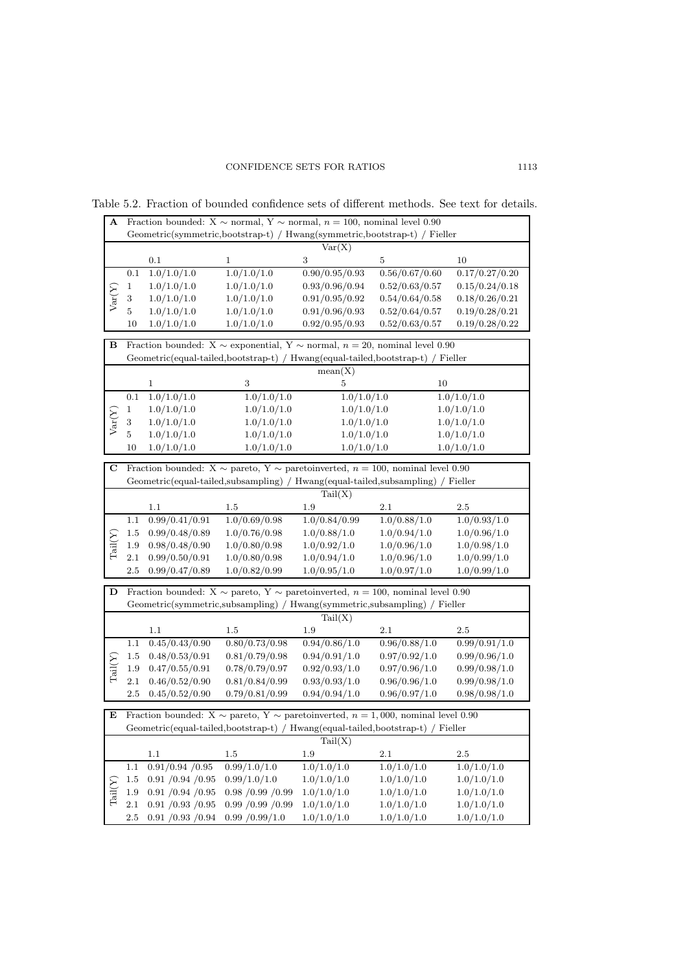Table 5.2. Fraction of bounded confidence sets of different methods. See text for details.

| A                  | Fraction bounded: X $\sim$ normal, Y $\sim$ normal, $n=100,$ nominal level $0.90$      |                                                                           |                                                                                              |                              |                              |                              |  |  |  |  |
|--------------------|----------------------------------------------------------------------------------------|---------------------------------------------------------------------------|----------------------------------------------------------------------------------------------|------------------------------|------------------------------|------------------------------|--|--|--|--|
|                    |                                                                                        | Geometric(symmetric,bootstrap-t) / Hwang(symmetric,bootstrap-t) / Fieller |                                                                                              |                              |                              |                              |  |  |  |  |
|                    | Var(X)                                                                                 |                                                                           |                                                                                              |                              |                              |                              |  |  |  |  |
|                    |                                                                                        | 0.1                                                                       | 1                                                                                            | $\,3$                        | 5                            | 10                           |  |  |  |  |
| $\text{Var}(Y)$    | 0.1                                                                                    | 1.0/1.0/1.0                                                               | 1.0/1.0/1.0                                                                                  | 0.90/0.95/0.93               | 0.56/0.67/0.60               | 0.17/0.27/0.20               |  |  |  |  |
|                    | $\mathbf{1}$                                                                           | 1.0/1.0/1.0                                                               | 1.0/1.0/1.0                                                                                  | 0.93/0.96/0.94               | 0.52/0.63/0.57               | 0.15/0.24/0.18               |  |  |  |  |
|                    | 3                                                                                      | 1.0/1.0/1.0                                                               | 1.0/1.0/1.0                                                                                  | 0.91/0.95/0.92               | 0.54/0.64/0.58               | 0.18/0.26/0.21               |  |  |  |  |
|                    | $\bf 5$                                                                                | 1.0/1.0/1.0                                                               | 1.0/1.0/1.0                                                                                  | 0.91/0.96/0.93               | 0.52/0.64/0.57               | 0.19/0.28/0.21               |  |  |  |  |
|                    | 10                                                                                     | 1.0/1.0/1.0                                                               | 1.0/1.0/1.0                                                                                  | 0.92/0.95/0.93               | 0.52/0.63/0.57               | 0.19/0.28/0.22               |  |  |  |  |
| в                  | Fraction bounded: X $\sim$ exponential, Y $\sim$ normal, $n = 20$ , nominal level 0.90 |                                                                           |                                                                                              |                              |                              |                              |  |  |  |  |
|                    | Geometric(equal-tailed,bootstrap-t) / Hwang(equal-tailed,bootstrap-t) / Fieller        |                                                                           |                                                                                              |                              |                              |                              |  |  |  |  |
|                    | mean(X)                                                                                |                                                                           |                                                                                              |                              |                              |                              |  |  |  |  |
|                    |                                                                                        | 1                                                                         | $\,3$                                                                                        | 5                            | 10                           |                              |  |  |  |  |
| Var(Y)             | 0.1                                                                                    | 1.0/1.0/1.0                                                               | 1.0/1.0/1.0                                                                                  | 1.0/1.0/1.0                  |                              | 1.0/1.0/1.0                  |  |  |  |  |
|                    | $\mathbf{1}$                                                                           | 1.0/1.0/1.0                                                               | 1.0/1.0/1.0                                                                                  | 1.0/1.0/1.0                  |                              | 1.0/1.0/1.0                  |  |  |  |  |
|                    | $\,3$                                                                                  | 1.0/1.0/1.0                                                               | 1.0/1.0/1.0                                                                                  | 1.0/1.0/1.0                  |                              | 1.0/1.0/1.0                  |  |  |  |  |
|                    | $\bf 5$                                                                                | 1.0/1.0/1.0                                                               | 1.0/1.0/1.0                                                                                  | 1.0/1.0/1.0                  |                              | 1.0/1.0/1.0                  |  |  |  |  |
|                    | 10                                                                                     | 1.0/1.0/1.0                                                               | 1.0/1.0/1.0                                                                                  | 1.0/1.0/1.0                  |                              | 1.0/1.0/1.0                  |  |  |  |  |
|                    |                                                                                        |                                                                           |                                                                                              |                              |                              |                              |  |  |  |  |
| С                  |                                                                                        |                                                                           | Fraction bounded: X $\sim$ pareto, Y $\sim$ paretoinverted, $n = 100$ , nominal level 0.90   |                              |                              |                              |  |  |  |  |
|                    | Geometric(equal-tailed,subsampling) / Hwang(equal-tailed,subsampling) / Fieller        |                                                                           |                                                                                              |                              |                              |                              |  |  |  |  |
|                    |                                                                                        |                                                                           |                                                                                              | Tail(X)                      |                              |                              |  |  |  |  |
| $\mathrm{Tail}(Y)$ |                                                                                        | 1.1                                                                       | $1.5\,$                                                                                      | 1.9                          | 2.1                          | 2.5                          |  |  |  |  |
|                    | 1.1                                                                                    | 0.99/0.41/0.91                                                            | 1.0/0.69/0.98                                                                                | 1.0/0.84/0.99                | 1.0/0.88/1.0                 | 1.0/0.93/1.0                 |  |  |  |  |
|                    | 1.5<br>1.9                                                                             | 0.99/0.48/0.89<br>0.98/0.48/0.90                                          | 1.0/0.76/0.98<br>1.0/0.80/0.98                                                               | 1.0/0.88/1.0<br>1.0/0.92/1.0 | 1.0/0.94/1.0<br>1.0/0.96/1.0 | 1.0/0.96/1.0<br>1.0/0.98/1.0 |  |  |  |  |
|                    | 2.1                                                                                    | 0.99/0.50/0.91                                                            | 1.0/0.80/0.98                                                                                | 1.0/0.94/1.0                 | 1.0/0.96/1.0                 | 1.0/0.99/1.0                 |  |  |  |  |
|                    | 2.5                                                                                    | 0.99/0.47/0.89                                                            | 1.0/0.82/0.99                                                                                | 1.0/0.95/1.0                 | 1.0/0.97/1.0                 | 1.0/0.99/1.0                 |  |  |  |  |
|                    |                                                                                        |                                                                           |                                                                                              |                              |                              |                              |  |  |  |  |
| D                  |                                                                                        |                                                                           | Fraction bounded: $X \sim$ pareto, $Y \sim$ paretoinverted, $n = 100$ , nominal level 0.90   |                              |                              |                              |  |  |  |  |
|                    |                                                                                        |                                                                           | Geometric(symmetric,subsampling) / Hwang(symmetric,subsampling) / Fieller                    |                              |                              |                              |  |  |  |  |
|                    |                                                                                        |                                                                           |                                                                                              | Tail(X)                      |                              |                              |  |  |  |  |
|                    |                                                                                        | $1.1\,$                                                                   | $1.5\,$                                                                                      | 1.9                          | 2.1                          | 2.5                          |  |  |  |  |
|                    | 1.1                                                                                    | 0.45/0.43/0.90                                                            | 0.80/0.73/0.98                                                                               | 0.94/0.86/1.0                | 0.96/0.88/1.0                | 0.99/0.91/1.0                |  |  |  |  |
| Tail(Y)            | $1.5\,$                                                                                | 0.48/0.53/0.91                                                            | 0.81/0.79/0.98                                                                               | 0.94/0.91/1.0                | 0.97/0.92/1.0                | 0.99/0.96/1.0                |  |  |  |  |
|                    | 1.9                                                                                    | 0.47/0.55/0.91                                                            | 0.78/0.79/0.97                                                                               | 0.92/0.93/1.0                | 0.97/0.96/1.0                | 0.99/0.98/1.0                |  |  |  |  |
|                    | 2.1                                                                                    | 0.46/0.52/0.90                                                            | 0.81/0.84/0.99                                                                               | 0.93/0.93/1.0                | 0.96/0.96/1.0                | 0.99/0.98/1.0                |  |  |  |  |
|                    | $2.5\,$                                                                                | 0.45/0.52/0.90                                                            | 0.79/0.81/0.99                                                                               | 0.94/0.94/1.0                | 0.96/0.97/1.0                | 0.98/0.98/1.0                |  |  |  |  |
| Е                  |                                                                                        |                                                                           | Fraction bounded: X $\sim$ pareto, Y $\sim$ paretoinverted, $n = 1,000$ , nominal level 0.90 |                              |                              |                              |  |  |  |  |
|                    |                                                                                        |                                                                           | Geometric(equal-tailed,bootstrap-t) / Hwang(equal-tailed,bootstrap-t) / Fieller              |                              |                              |                              |  |  |  |  |
|                    |                                                                                        |                                                                           |                                                                                              | Tail(X)                      |                              |                              |  |  |  |  |
|                    |                                                                                        | 1.1                                                                       | $1.5\,$                                                                                      | 1.9                          | $2.1\,$                      | $2.5\,$                      |  |  |  |  |
| Tail(Y)            | 1.1                                                                                    | 0.91/0.94 / 0.95                                                          | 0.99/1.0/1.0                                                                                 | 1.0/1.0/1.0                  | 1.0/1.0/1.0                  | 1.0/1.0/1.0                  |  |  |  |  |
|                    | 1.5                                                                                    | 0.91 / 0.94 / 0.95                                                        | 0.99/1.0/1.0                                                                                 | 1.0/1.0/1.0                  | 1.0/1.0/1.0                  | 1.0/1.0/1.0                  |  |  |  |  |
|                    | 1.9                                                                                    | 0.91 / 0.94 / 0.95                                                        | 0.98 / 0.99 / 0.99                                                                           | 1.0/1.0/1.0                  | 1.0/1.0/1.0                  | 1.0/1.0/1.0                  |  |  |  |  |
|                    | 2.1                                                                                    | 0.91 / 0.93 / 0.95                                                        | 0.99 / 0.99 / 0.99                                                                           | 1.0/1.0/1.0                  | 1.0/1.0/1.0                  | 1.0/1.0/1.0                  |  |  |  |  |
|                    | $2.5\,$                                                                                | $0.91$ /0.93 /0.94 $\,$                                                   | 0.99 / 0.99 / 1.0                                                                            | 1.0/1.0/1.0                  | 1.0/1.0/1.0                  | 1.0/1.0/1.0                  |  |  |  |  |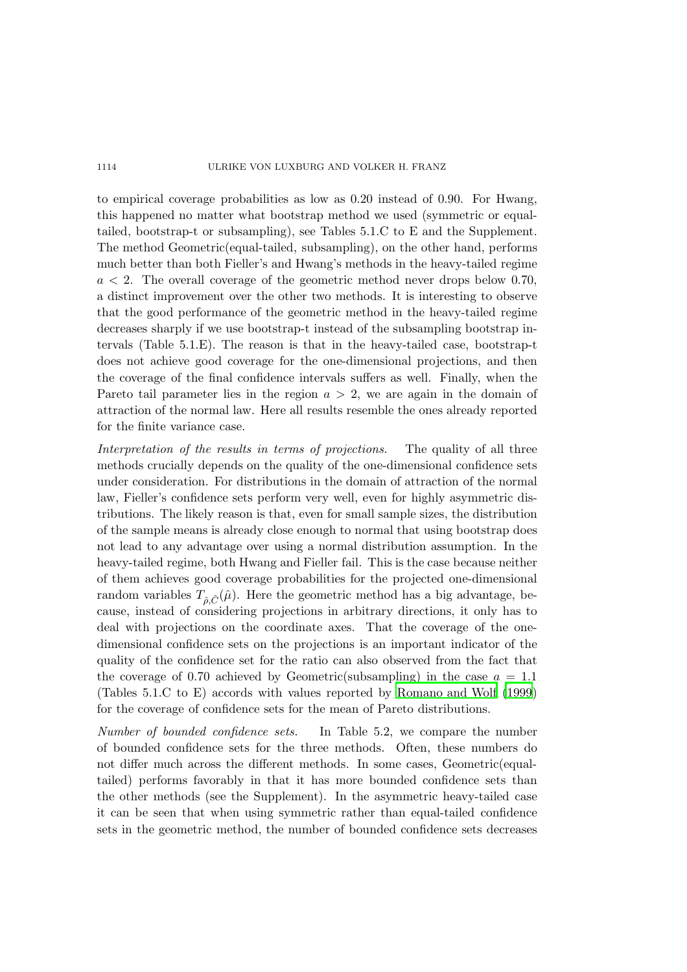to empirical coverage probabilities as low as 0.20 instead of 0.90. For Hwang, this happened no matter what bootstrap method we used (symmetric or equaltailed, bootstrap-t or subsampling), see Tables 5.1.C to E and the Supplement. The method Geometric(equal-tailed, subsampling), on the other hand, performs much better than both Fieller's and Hwang's methods in the heavy-tailed regime  $a < 2$ . The overall coverage of the geometric method never drops below 0.70, a distinct improvement over the other two methods. It is interesting to observe that the good performance of the geometric method in the heavy-tailed regime decreases sharply if we use bootstrap-t instead of the subsampling bootstrap intervals (Table 5.1.E). The reason is that in the heavy-tailed case, bootstrap-t does not achieve good coverage for the one-dimensional projections, and then the coverage of the final confidence intervals suffers as well. Finally, when the Pareto tail parameter lies in the region  $a > 2$ , we are again in the domain of attraction of the normal law. Here all results resemble the ones already reported for the finite variance case.

Interpretation of the results in terms of projections. The quality of all three methods crucially depends on the quality of the one-dimensional confidence sets under consideration. For distributions in the domain of attraction of the normal law, Fieller's confidence sets perform very well, even for highly asymmetric distributions. The likely reason is that, even for small sample sizes, the distribution of the sample means is already close enough to normal that using bootstrap does not lead to any advantage over using a normal distribution assumption. In the heavy-tailed regime, both Hwang and Fieller fail. This is the case because neither of them achieves good coverage probabilities for the projected one-dimensional random variables  $T_{\hat{\rho}, \hat{C}}(\hat{\mu})$ . Here the geometric method has a big advantage, because, instead of considering projections in arbitrary directions, it only has to deal with projections on the coordinate axes. That the coverage of the onedimensional confidence sets on the projections is an important indicator of the quality of the confidence set for the ratio can also observed from the fact that the coverage of 0.70 achieved by Geometric (subsampling) in the case  $a = 1.1$ (Tables 5.1.C to E) accords with values reported by [Romano and Wolf \(1999](#page-22-9)) for the coverage of confidence sets for the mean of Pareto distributions.

Number of bounded confidence sets. In Table 5.2, we compare the number of bounded confidence sets for the three methods. Often, these numbers do not differ much across the different methods. In some cases, Geometric(equaltailed) performs favorably in that it has more bounded confidence sets than the other methods (see the Supplement). In the asymmetric heavy-tailed case it can be seen that when using symmetric rather than equal-tailed confidence sets in the geometric method, the number of bounded confidence sets decreases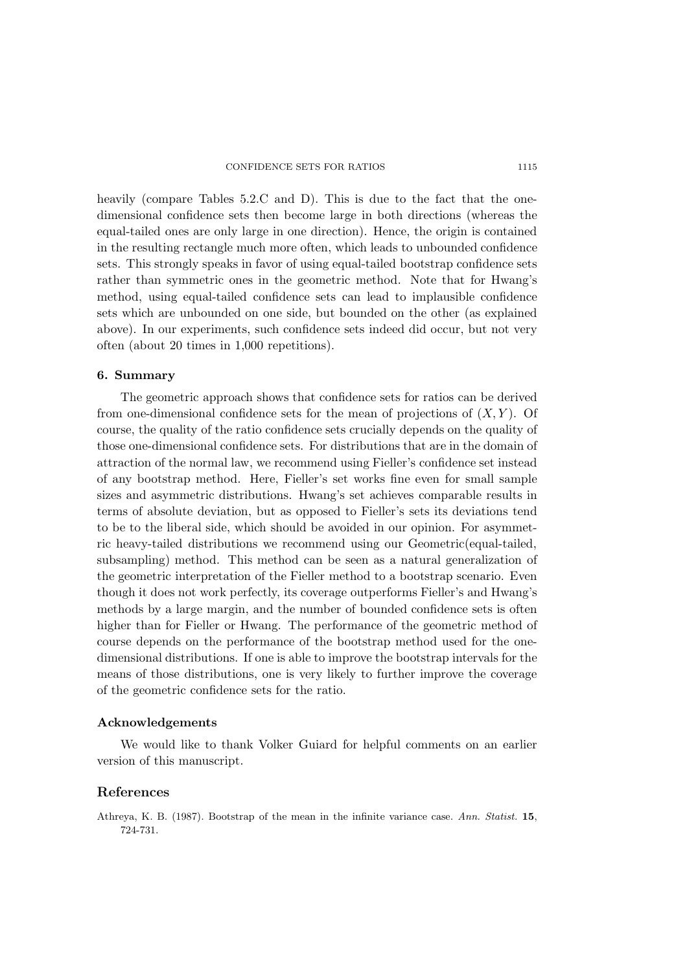heavily (compare Tables 5.2.C and D). This is due to the fact that the onedimensional confidence sets then become large in both directions (whereas the equal-tailed ones are only large in one direction). Hence, the origin is contained in the resulting rectangle much more often, which leads to unbounded confidence sets. This strongly speaks in favor of using equal-tailed bootstrap confidence sets rather than symmetric ones in the geometric method. Note that for Hwang's method, using equal-tailed confidence sets can lead to implausible confidence sets which are unbounded on one side, but bounded on the other (as explained above). In our experiments, such confidence sets indeed did occur, but not very often (about 20 times in 1,000 repetitions).

## 6. Summary

The geometric approach shows that confidence sets for ratios can be derived from one-dimensional confidence sets for the mean of projections of  $(X, Y)$ . Of course, the quality of the ratio confidence sets crucially depends on the quality of those one-dimensional confidence sets. For distributions that are in the domain of attraction of the normal law, we recommend using Fieller's confidence set instead of any bootstrap method. Here, Fieller's set works fine even for small sample sizes and asymmetric distributions. Hwang's set achieves comparable results in terms of absolute deviation, but as opposed to Fieller's sets its deviations tend to be to the liberal side, which should be avoided in our opinion. For asymmetric heavy-tailed distributions we recommend using our Geometric(equal-tailed, subsampling) method. This method can be seen as a natural generalization of the geometric interpretation of the Fieller method to a bootstrap scenario. Even though it does not work perfectly, its coverage outperforms Fieller's and Hwang's methods by a large margin, and the number of bounded confidence sets is often higher than for Fieller or Hwang. The performance of the geometric method of course depends on the performance of the bootstrap method used for the onedimensional distributions. If one is able to improve the bootstrap intervals for the means of those distributions, one is very likely to further improve the coverage of the geometric confidence sets for the ratio.

### Acknowledgements

We would like to thank Volker Guiard for helpful comments on an earlier version of this manuscript.

# References

<span id="page-20-0"></span>Athreya, K. B. (1987). Bootstrap of the mean in the infinite variance case. Ann. Statist. 15, 724-731.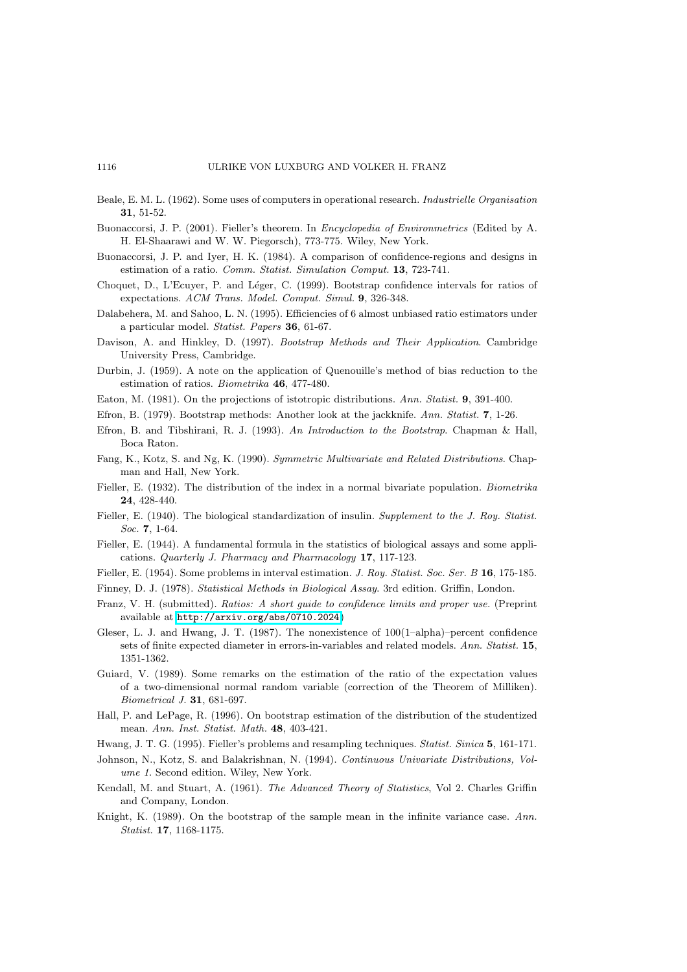- <span id="page-21-12"></span>Beale, E. M. L. (1962). Some uses of computers in operational research. Industrielle Organisation 31, 51-52.
- <span id="page-21-0"></span>Buonaccorsi, J. P. (2001). Fieller's theorem. In Encyclopedia of Environmetrics (Edited by A. H. El-Shaarawi and W. W. Piegorsch), 773-775. Wiley, New York.
- <span id="page-21-10"></span>Buonaccorsi, J. P. and Iyer, H. K. (1984). A comparison of confidence-regions and designs in estimation of a ratio. Comm. Statist. Simulation Comput. 13, 723-741.
- <span id="page-21-21"></span>Choquet, D., L'Ecuyer, P. and Léger, C. (1999). Bootstrap confidence intervals for ratios of expectations. ACM Trans. Model. Comput. Simul. 9, 326-348.
- <span id="page-21-14"></span>Dalabehera, M. and Sahoo, L. N. (1995). Efficiencies of 6 almost unbiased ratio estimators under a particular model. Statist. Papers 36, 61-67.
- <span id="page-21-19"></span>Davison, A. and Hinkley, D. (1997). Bootstrap Methods and Their Application. Cambridge University Press, Cambridge.
- <span id="page-21-13"></span>Durbin, J. (1959). A note on the application of Quenouille's method of bias reduction to the estimation of ratios. Biometrika 46, 477-480.
- <span id="page-21-15"></span>Eaton, M. (1981). On the projections of istotropic distributions. Ann. Statist. 9, 391-400.
- <span id="page-21-17"></span>Efron, B. (1979). Bootstrap methods: Another look at the jackknife. Ann. Statist. 7, 1-26.
- <span id="page-21-18"></span>Efron, B. and Tibshirani, R. J. (1993). An Introduction to the Bootstrap. Chapman & Hall, Boca Raton.
- <span id="page-21-16"></span>Fang, K., Kotz, S. and Ng, K. (1990). Symmetric Multivariate and Related Distributions. Chapman and Hall, New York.
- <span id="page-21-2"></span>Fieller, E. (1932). The distribution of the index in a normal bivariate population. Biometrika 24, 428-440.
- <span id="page-21-3"></span>Fieller, E. (1940). The biological standardization of insulin. Supplement to the J. Roy. Statist. Soc. 7, 1-64.
- <span id="page-21-4"></span>Fieller, E. (1944). A fundamental formula in the statistics of biological assays and some applications. Quarterly J. Pharmacy and Pharmacology 17, 117-123.
- <span id="page-21-5"></span>Fieller, E. (1954). Some problems in interval estimation. J. Roy. Statist. Soc. Ser. B 16, 175-185.
- <span id="page-21-7"></span>Finney, D. J. (1978). Statistical Methods in Biological Assay. 3rd edition. Griffin, London.
- <span id="page-21-1"></span>Franz, V. H. (submitted). Ratios: A short guide to confidence limits and proper use. (Preprint available at <http://arxiv.org/abs/0710.2024>)
- <span id="page-21-8"></span>Gleser, L. J. and Hwang, J. T. (1987). The nonexistence of 100(1–alpha)–percent confidence sets of finite expected diameter in errors-in-variables and related models. Ann. Statist. 15, 1351-1362.
- <span id="page-21-11"></span>Guiard, V. (1989). Some remarks on the estimation of the ratio of the expectation values of a two-dimensional normal random variable (correction of the Theorem of Milliken). Biometrical J. 31, 681-697.
- <span id="page-21-23"></span>Hall, P. and LePage, R. (1996). On bootstrap estimation of the distribution of the studentized mean. Ann. Inst. Statist. Math. 48, 403-421.
- <span id="page-21-9"></span>Hwang, J. T. G. (1995). Fieller's problems and resampling techniques. Statist. Sinica 5, 161-171.
- <span id="page-21-22"></span>Johnson, N., Kotz, S. and Balakrishnan, N. (1994). Continuous Univariate Distributions, Volume 1. Second edition. Wiley, New York.
- <span id="page-21-6"></span>Kendall, M. and Stuart, A. (1961). The Advanced Theory of Statistics, Vol 2. Charles Griffin and Company, London.
- <span id="page-21-20"></span>Knight, K. (1989). On the bootstrap of the sample mean in the infinite variance case. Ann. Statist. 17, 1168-1175.